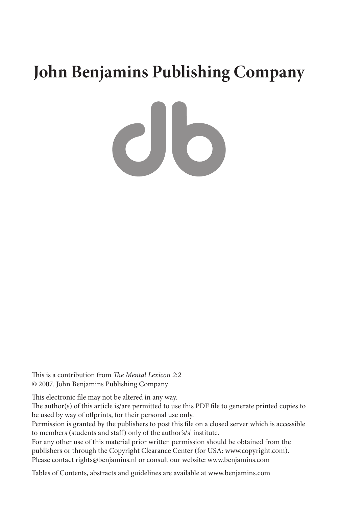# **John Benjamins Publishing Company**

 $c$ lo

This is a contribution from *The Mental Lexicon 2:2* © 2007. John Benjamins Publishing Company

This electronic file may not be altered in any way.

The author(s) of this article is/are permitted to use this PDF file to generate printed copies to be used by way of offprints, for their personal use only.

Permission is granted by the publishers to post this file on a closed server which is accessible to members (students and staff) only of the author's/s' institute.

For any other use of this material prior written permission should be obtained from the publishers or through the Copyright Clearance Center (for USA: www.copyright.com). Please contact rights@benjamins.nl or consult our website: www.benjamins.com

Tables of Contents, abstracts and guidelines are available at www.benjamins.com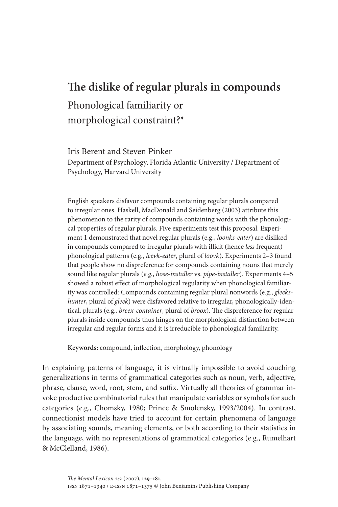## **The dislike of regular plurals in compounds**

## Phonological familiarity or morphological constraint?\*

Iris Berent and Steven Pinker

Department of Psychology, Florida Atlantic University / Department of Psychology, Harvard University

English speakers disfavor compounds containing regular plurals compared to irregular ones. Haskell, MacDonald and Seidenberg (2003) attribute this phenomenon to the rarity of compounds containing words with the phonological properties of regular plurals. Five experiments test this proposal. Experiment 1 demonstrated that novel regular plurals (e.g., *loonks-eater*) are disliked in compounds compared to irregular plurals with illicit (hence *less* frequent) phonological patterns (e.g., *leevk-eater*, plural of *loovk*). Experiments 2–3 found that people show no dispreference for compounds containing nouns that merely sound like regular plurals (*e.g.*, *hose-installer* vs. *pipe-installer*). Experiments 4–5 showed a robust effect of morphological regularity when phonological familiarity was controlled: Compounds containing regular plural nonwords (e.g., *gleekshunter*, plural of *gleek*) were disfavored relative to irregular, phonologically-identical, plurals (e.g., *breex-container*, plural of *broox*). The dispreference for regular plurals inside compounds thus hinges on the morphological distinction between irregular and regular forms and it is irreducible to phonological familiarity.

**Keywords:** compound, inflection, morphology, phonology

In explaining patterns of language, it is virtually impossible to avoid couching generalizations in terms of grammatical categories such as noun, verb, adjective, phrase, clause, word, root, stem, and suffix. Virtually all theories of grammar invoke productive combinatorial rules that manipulate variables or symbols for such categories (e.g., Chomsky, 1980; Prince & Smolensky, 1993/2004). In contrast, connectionist models have tried to account for certain phenomena of language by associating sounds, meaning elements, or both according to their statistics in the language, with no representations of grammatical categories (e.g., Rumelhart & McClelland, 1986).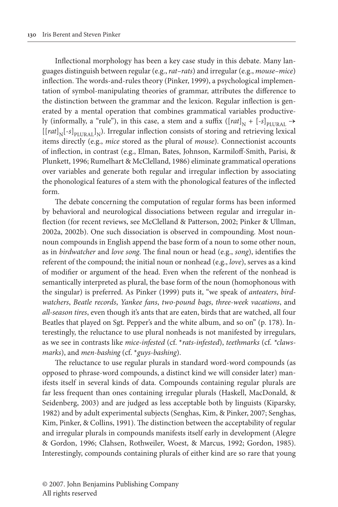Inflectional morphology has been a key case study in this debate. Many languages distinguish between regular (e.g., *rat–rats*) and irregular (e.g., *mouse–mice*) inflection. The words-and-rules theory (Pinker, 1999), a psychological implementation of symbol-manipulating theories of grammar, attributes the difference to the distinction between the grammar and the lexicon. Regular inflection is generated by a mental operation that combines grammatical variables productively (informally, a "rule"), in this case, a stem and a suffix  $([rat]_N + [-s]_{\text{PlURAL}} \rightarrow$  $[[rat]_{N}[-s]_{\text{DTTD} \text{A1}}]_{N}$ ). Irregular inflection consists of storing and retrieving lexical items directly (e.g., *mice* stored as the plural of *mouse*). Connectionist accounts of inflection, in contrast (e.g., Elman, Bates, Johnson, Karmiloff-Smith, Parisi, & Plunkett, 1996; Rumelhart & McClelland, 1986) eliminate grammatical operations over variables and generate both regular and irregular inflection by associating the phonological features of a stem with the phonological features of the inflected form.

The debate concerning the computation of regular forms has been informed by behavioral and neurological dissociations between regular and irregular inflection (for recent reviews, see McClelland & Patterson, 2002; Pinker & Ullman, 2002a, 2002b). One such dissociation is observed in compounding. Most nounnoun compounds in English append the base form of a noun to some other noun, as in *birdwatcher* and *love song*. The final noun or head (e.g., *song*), identifies the referent of the compound; the initial noun or nonhead (e.g., *love*), serves as a kind of modifier or argument of the head. Even when the referent of the nonhead is semantically interpreted as plural, the base form of the noun (homophonous with the singular) is preferred. As Pinker (1999) puts it, "we speak of *anteaters*, *birdwatchers*, *Beatle records*, *Yankee fans*, *two-pound bags*, *three-week vacations*, and *all-season tires*, even though it's ants that are eaten, birds that are watched, all four Beatles that played on Sgt. Pepper's and the white album, and so on" (p. 178). Interestingly, the reluctance to use plural nonheads is not manifested by irregulars, as we see in contrasts like *mice-infested* (cf. \**rats-infested*), *teethmarks* (cf. *\*clawsmarks*), and *men-bashing* (cf. \**guys-bashing*).

The reluctance to use regular plurals in standard word-word compounds (as opposed to phrase-word compounds, a distinct kind we will consider later) manifests itself in several kinds of data. Compounds containing regular plurals are far less frequent than ones containing irregular plurals (Haskell, MacDonald, & Seidenberg, 2003) and are judged as less acceptable both by linguists (Kiparsky, 1982) and by adult experimental subjects (Senghas, Kim, & Pinker, 2007; Senghas, Kim, Pinker, & Collins, 1991). The distinction between the acceptability of regular and irregular plurals in compounds manifests itself early in development (Alegre & Gordon, 1996; Clahsen, Rothweiler, Woest, & Marcus, 1992; Gordon, 1985). Interestingly, compounds containing plurals of either kind are so rare that young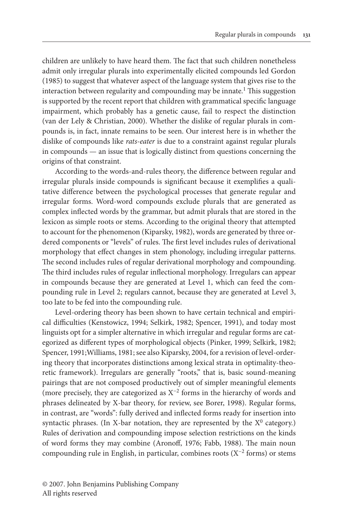children are unlikely to have heard them. The fact that such children nonetheless admit only irregular plurals into experimentally elicited compounds led Gordon (1985) to suggest that whatever aspect of the language system that gives rise to the interaction between regularity and compounding may be innate.<sup>1</sup> This suggestion is supported by the recent report that children with grammatical specific language impairment, which probably has a genetic cause, fail to respect the distinction (van der Lely & Christian, 2000). Whether the dislike of regular plurals in compounds is, in fact, innate remains to be seen. Our interest here is in whether the dislike of compounds like *rats-eater* is due to a constraint against regular plurals in compounds — an issue that is logically distinct from questions concerning the origins of that constraint.

According to the words-and-rules theory, the difference between regular and irregular plurals inside compounds is significant because it exemplifies a qualitative difference between the psychological processes that generate regular and irregular forms. Word-word compounds exclude plurals that are generated as complex inflected words by the grammar, but admit plurals that are stored in the lexicon as simple roots or stems. According to the original theory that attempted to account for the phenomenon (Kiparsky, 1982), words are generated by three ordered components or "levels" of rules. The first level includes rules of derivational morphology that effect changes in stem phonology, including irregular patterns. The second includes rules of regular derivational morphology and compounding. The third includes rules of regular inflectional morphology. Irregulars can appear in compounds because they are generated at Level 1, which can feed the compounding rule in Level 2; regulars cannot, because they are generated at Level 3, too late to be fed into the compounding rule.

Level-ordering theory has been shown to have certain technical and empirical difficulties (Kenstowicz, 1994; Selkirk, 1982; Spencer, 1991), and today most linguists opt for a simpler alternative in which irregular and regular forms are categorized as different types of morphological objects (Pinker, 1999; Selkirk, 1982; Spencer, 1991;Williams, 1981; see also Kiparsky, 2004, for a revision of level-ordering theory that incorporates distinctions among lexical strata in optimality-theoretic framework). Irregulars are generally "roots," that is, basic sound-meaning pairings that are not composed productively out of simpler meaningful elements (more precisely, they are categorized as X−2 forms in the hierarchy of words and phrases delineated by X-bar theory, for review, see Borer, 1998). Regular forms, in contrast, are "words": fully derived and inflected forms ready for insertion into syntactic phrases. (In X-bar notation, they are represented by the  $X^0$  category.) Rules of derivation and compounding impose selection restrictions on the kinds of word forms they may combine (Aronoff, 1976; Fabb, 1988). The main noun compounding rule in English, in particular, combines roots (X−2 forms) or stems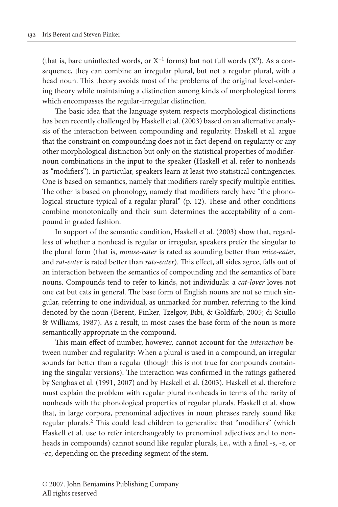(that is, bare uninflected words, or  $X^{-1}$  forms) but not full words ( $X^0$ ). As a consequence, they can combine an irregular plural, but not a regular plural, with a head noun. This theory avoids most of the problems of the original level-ordering theory while maintaining a distinction among kinds of morphological forms which encompasses the regular-irregular distinction.

The basic idea that the language system respects morphological distinctions has been recently challenged by Haskell et al. (2003) based on an alternative analysis of the interaction between compounding and regularity. Haskell et al. argue that the constraint on compounding does not in fact depend on regularity or any other morphological distinction but only on the statistical properties of modifiernoun combinations in the input to the speaker (Haskell et al. refer to nonheads as "modifiers"). In particular, speakers learn at least two statistical contingencies. One is based on semantics, namely that modifiers rarely specify multiple entities. The other is based on phonology, namely that modifiers rarely have "the phonological structure typical of a regular plural" (p. 12). These and other conditions combine monotonically and their sum determines the acceptability of a compound in graded fashion.

In support of the semantic condition, Haskell et al. (2003) show that, regardless of whether a nonhead is regular or irregular, speakers prefer the singular to the plural form (that is, *mouse-eater* is rated as sounding better than *mice-eater*, and *rat-eater* is rated better than *rats-eater*). This effect, all sides agree, falls out of an interaction between the semantics of compounding and the semantics of bare nouns. Compounds tend to refer to kinds, not individuals: a *cat-lover* loves not one cat but cats in general. The base form of English nouns are not so much singular, referring to one individual, as unmarked for number, referring to the kind denoted by the noun (Berent, Pinker, Tzelgov, Bibi, & Goldfarb, 2005; di Sciullo & Williams, 1987). As a result, in most cases the base form of the noun is more semantically appropriate in the compound.

This main effect of number, however, cannot account for the *interaction* between number and regularity: When a plural *is* used in a compound, an irregular sounds far better than a regular (though this is not true for compounds containing the singular versions). The interaction was confirmed in the ratings gathered by Senghas et al. (1991, 2007) and by Haskell et al. (2003). Haskell et al. therefore must explain the problem with regular plural nonheads in terms of the rarity of nonheads with the phonological properties of regular plurals. Haskell et al. show that, in large corpora, prenominal adjectives in noun phrases rarely sound like regular plurals.2 This could lead children to generalize that "modifiers" (which Haskell et al. use to refer interchangeably to prenominal adjectives and to nonheads in compounds) cannot sound like regular plurals, i.e., with a final -*s*, -*z*, or *-ez*, depending on the preceding segment of the stem.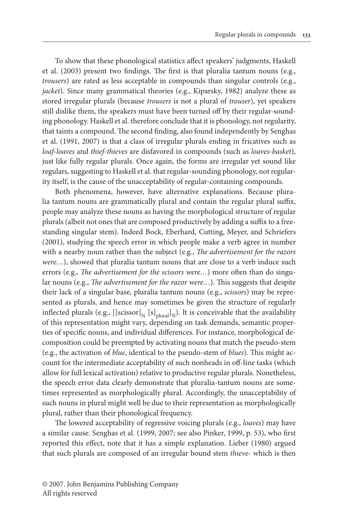To show that these phonological statistics affect speakers' judgments, Haskell et al. (2003) present two findings. The first is that pluralia tantum nouns (e.g., *trousers*) are rated as less acceptable in compounds than singular controls (e.g., *jacket*). Since many grammatical theories (e.g., Kiparsky, 1982) analyze these as stored irregular plurals (because *trousers* is not a plural of *trouser*), yet speakers still dislike them, the speakers must have been turned off by their regular-sounding phonology. Haskell et al. therefore conclude that it is phonology, not regularity, that taints a compound. The second finding, also found independently by Senghas et al. (1991, 2007) is that a class of irregular plurals ending in fricatives such as *loaf-loaves* and *thief-thieves* are disfavored in compounds (such as *loaves-basket*), just like fully regular plurals. Once again, the forms are irregular yet sound like regulars, suggesting to Haskell et al. that regular-sounding phonology, not regularity itself, is the cause of the unacceptability of regular-containing compounds.

Both phenomena, however, have alternative explanations. Because pluralia tantum nouns are grammatically plural and contain the regular plural suffix, people may analyze these nouns as having the morphological structure of regular plurals (albeit not ones that are composed productively by adding a suffix to a freestanding singular stem). Indeed Bock, Eberhard, Cutting, Meyer, and Schriefers (2001), studying the speech error in which people make a verb agree in number with a nearby noun rather than the subject (e.g., *The advertisement for the razors were…*), showed that pluralia tantum nouns that are close to a verb induce such errors (e.g., *The advertisement for the scissors were…*) more often than do singular nouns (e.g., *The advertisement for the razor were…*). This suggests that despite their lack of a singular base, pluralia tantum nouns (e.g., *scissors*) may be represented as plurals, and hence may sometimes be given the structure of regularly inflected plurals (e.g.,  $[[scissor]_{N} [s]_{\text{plural}}]_{N}$ ). It is conceivable that the availability of this representation might vary, depending on task demands, semantic properties of specific nouns, and individual differences. For instance, morphological decomposition could be preempted by activating nouns that match the pseudo-stem (e.g., the activation of *blue*, identical to the pseudo-stem of *blues*). This might account for the intermediate acceptability of such nonheads in off-line tasks (which allow for full lexical activation) relative to productive regular plurals. Nonetheless, the speech error data clearly demonstrate that pluralia-tantum nouns are sometimes represented as morphologically plural. Accordingly, the unacceptability of such nouns in plural might well be due to their representation as morphologically plural, rather than their phonological frequency.

The lowered acceptability of regressive voicing plurals (e.g., *loaves*) may have a similar cause. Senghas et al. (1999, 2007; see also Pinker, 1999, p. 53), who first reported this effect, note that it has a simple explanation. Lieber (1980) argued that such plurals are composed of an irregular bound stem *thieve-* which is then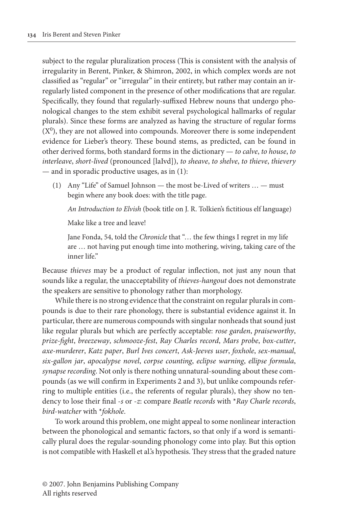subject to the regular pluralization process (This is consistent with the analysis of irregularity in Berent, Pinker, & Shimron, 2002, in which complex words are not classified as "regular" or "irregular" in their entirety, but rather may contain an irregularly listed component in the presence of other modifications that are regular. Specifically, they found that regularly-suffixed Hebrew nouns that undergo phonological changes to the stem exhibit several psychological hallmarks of regular plurals). Since these forms are analyzed as having the structure of regular forms  $(X<sup>0</sup>)$ , they are not allowed into compounds. Moreover there is some independent evidence for Lieber's theory. These bound stems, as predicted, can be found in other derived forms, both standard forms in the dictionary — *to calve*, *to house*, *to interleave*, *short-lived* (pronounced [laIvd]), *to sheave*, *to shelve*, *to thieve*, *thievery* — and in sporadic productive usages, as in (1):

 (1) Any "Life" of Samuel Johnson — the most be-Lived of writers … — must begin where any book does: with the title page.

*An Introduction to Elvish* (book title on J. R. Tolkien's fictitious elf language)

Make like a tree and leave!

 Jane Fonda, 54, told the *Chronicle* that "… the few things I regret in my life are … not having put enough time into mothering, wiving, taking care of the inner life."

Because *thieves* may be a product of regular inflection, not just any noun that sounds like a regular, the unacceptability of *thieves-hangout* does not demonstrate the speakers are sensitive to phonology rather than morphology.

While there is no strong evidence that the constraint on regular plurals in compounds is due to their rare phonology, there is substantial evidence against it. In particular, there are numerous compounds with singular nonheads that sound just like regular plurals but which are perfectly acceptable: *rose garden*, *praiseworthy*, *prize-fight*, *breezeway*, *schmooze-fest*, *Ray Charles record*, *Mars probe*, *box-cutter*, *axe-murderer*, *Katz paper*, *Burl Ives concert*, *Ask-Jeeves user*, *foxhole*, *sex-manual*, *six-gallon jar*, *apocalypse novel*, *corpse counting*, *eclipse warning*, *ellipse formula*, *synapse recording*. Not only is there nothing unnatural-sounding about these compounds (as we will confirm in Experiments 2 and 3), but unlike compounds referring to multiple entities (i.e., the referents of regular plurals), they show no tendency to lose their final -*s* or -*z*: compare *Beatle records* with \**Ray Charle records*, *bird-watcher* with \**fokhole*.

To work around this problem, one might appeal to some nonlinear interaction between the phonological and semantic factors, so that only if a word is semantically plural does the regular-sounding phonology come into play. But this option is not compatible with Haskell et al.'s hypothesis. They stress that the graded nature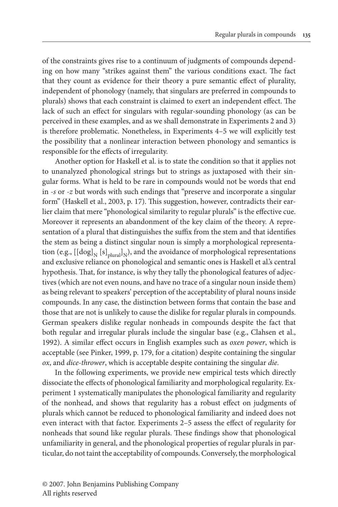of the constraints gives rise to a continuum of judgments of compounds depending on how many "strikes against them" the various conditions exact. The fact that they count as evidence for their theory a pure semantic effect of plurality, independent of phonology (namely, that singulars are preferred in compounds to plurals) shows that each constraint is claimed to exert an independent effect. The lack of such an effect for singulars with regular-sounding phonology (as can be perceived in these examples, and as we shall demonstrate in Experiments 2 and 3) is therefore problematic. Nonetheless, in Experiments 4–5 we will explicitly test the possibility that a nonlinear interaction between phonology and semantics is responsible for the effects of irregularity.

Another option for Haskell et al. is to state the condition so that it applies not to unanalyzed phonological strings but to strings as juxtaposed with their singular forms. What is held to be rare in compounds would not be words that end in *-s* or *-z* but words with such endings that "preserve and incorporate a singular form" (Haskell et al., 2003, p. 17). This suggestion, however, contradicts their earlier claim that mere "phonological similarity to regular plurals" is the effective cue. Moreover it represents an abandonment of the key claim of the theory. A representation of a plural that distinguishes the suffix from the stem and that identifies the stem as being a distinct singular noun is simply a morphological representation (e.g.,  $\left[\left[\text{dog}\right]_N\left[s\right]_{\text{blural}}\right]_N$ ), and the avoidance of morphological representations and exclusive reliance on phonological and semantic ones is Haskell et al.'s central hypothesis. That, for instance, is why they tally the phonological features of adjectives (which are not even nouns, and have no trace of a singular noun inside them) as being relevant to speakers' perception of the acceptability of plural nouns inside compounds. In any case, the distinction between forms that contain the base and those that are not is unlikely to cause the dislike for regular plurals in compounds. German speakers dislike regular nonheads in compounds despite the fact that both regular and irregular plurals include the singular base (e.g., Clahsen et al., 1992). A similar effect occurs in English examples such as *oxen power*, which is acceptable (see Pinker, 1999, p. 179, for a citation) despite containing the singular *ox*, and *dice-thrower*, which is acceptable despite containing the singular *die*.

In the following experiments, we provide new empirical tests which directly dissociate the effects of phonological familiarity and morphological regularity. Experiment 1 systematically manipulates the phonological familiarity and regularity of the nonhead, and shows that regularity has a robust effect on judgments of plurals which cannot be reduced to phonological familiarity and indeed does not even interact with that factor. Experiments 2–5 assess the effect of regularity for nonheads that sound like regular plurals. These findings show that phonological unfamiliarity in general, and the phonological properties of regular plurals in particular, do not taint the acceptability of compounds. Conversely, the morphological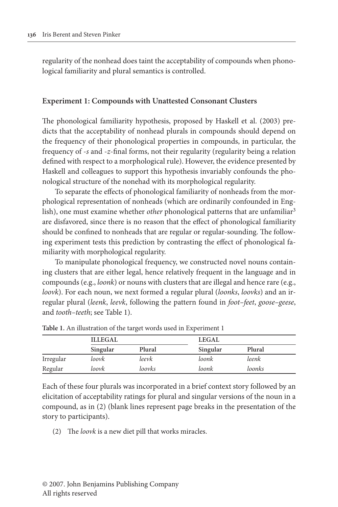regularity of the nonhead does taint the acceptability of compounds when phonological familiarity and plural semantics is controlled.

### **Experiment 1: Compounds with Unattested Consonant Clusters**

The phonological familiarity hypothesis, proposed by Haskell et al. (2003) predicts that the acceptability of nonhead plurals in compounds should depend on the frequency of their phonological properties in compounds, in particular, the frequency of -*s* and -*z*-final forms, not their regularity (regularity being a relation defined with respect to a morphological rule). However, the evidence presented by Haskell and colleagues to support this hypothesis invariably confounds the phonological structure of the nonehad with its morphological regularity.

To separate the effects of phonological familiarity of nonheads from the morphological representation of nonheads (which are ordinarily confounded in English), one must examine whether *other* phonological patterns that are unfamiliar<sup>3</sup> are disfavored, since there is no reason that the effect of phonological familiarity should be confined to nonheads that are regular or regular-sounding. The following experiment tests this prediction by contrasting the effect of phonological familiarity with morphological regularity.

To manipulate phonological frequency, we constructed novel nouns containing clusters that are either legal, hence relatively frequent in the language and in compounds (e.g., *loonk*) or nouns with clusters that are illegal and hence rare (e.g., *loovk*). For each noun, we next formed a regular plural (*loonks*, *loovks*) and an irregular plural (*leenk*, *leevk*, following the pattern found in *foot–feet*, *goose–geese*, and *tooth–teeth*; see Table 1).

|           | <b>ILLEGAL</b> |        | LEGAL    |        |
|-----------|----------------|--------|----------|--------|
|           | Singular       | Plural | Singular | Plural |
| Irregular | loovk          | leevk  | loonk    | leenk  |
| Regular   | loovk          | loovks | loonk    | loonks |

**Table 1.** An illustration of the target words used in Experiment 1

Each of these four plurals was incorporated in a brief context story followed by an elicitation of acceptability ratings for plural and singular versions of the noun in a compound, as in (2) (blank lines represent page breaks in the presentation of the story to participants).

(2) The *loovk* is a new diet pill that works miracles.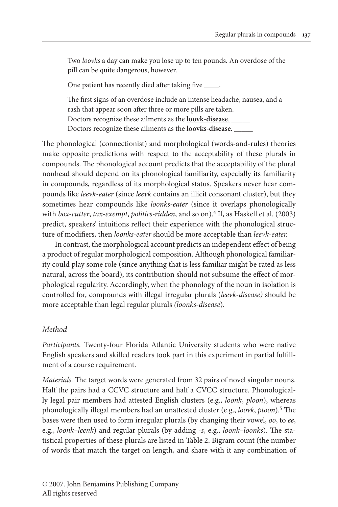Two *loovks* a day can make you lose up to ten pounds. An overdose of the pill can be quite dangerous, however.

One patient has recently died after taking five .

 The first signs of an overdose include an intense headache, nausea, and a rash that appear soon after three or more pills are taken. Doctors recognize these ailments as the **loovk-disease**. \_\_\_\_\_ Doctors recognize these ailments as the **loovks-disease**. \_\_\_\_\_

The phonological (connectionist) and morphological (words-and-rules) theories make opposite predictions with respect to the acceptability of these plurals in compounds. The phonological account predicts that the acceptability of the plural nonhead should depend on its phonological familiarity, especially its familiarity in compounds, regardless of its morphological status. Speakers never hear compounds like *leevk-eater* (since *leevk* contains an illicit consonant cluster), but they sometimes hear compounds like *loonks-eater* (since it overlaps phonologically with *box-cutter*, *tax-exempt*, *politics-ridden*, and so on).<sup>4</sup> If, as Haskell et al. (2003) predict, speakers' intuitions reflect their experience with the phonological structure of modifiers, then *loonks-eater* should be more acceptable than *leevk-eater.*

In contrast, the morphological account predicts an independent effect of being a product of regular morphological composition. Although phonological familiarity could play some role (since anything that is less familiar might be rated as less natural, across the board), its contribution should not subsume the effect of morphological regularity. Accordingly, when the phonology of the noun in isolation is controlled for, compounds with illegal irregular plurals (*leevk-disease)* should be more acceptable than legal regular plurals *(loonks-disease*).

## *Method*

*Participants.* Twenty-four Florida Atlantic University students who were native English speakers and skilled readers took part in this experiment in partial fulfillment of a course requirement.

*Materials.* The target words were generated from 32 pairs of novel singular nouns. Half the pairs had a CCVC structure and half a CVCC structure. Phonologically legal pair members had attested English clusters (e.g., *loonk*, *ploon*), whereas phonologically illegal members had an unattested cluster (e.g., *loovk*, *ptoon*).5 The bases were then used to form irregular plurals (by changing their vowel, *oo*, to *ee*, e.g., *loonk–leenk*) and regular plurals (by adding -*s*, e.g., *loonk–loonks*). The statistical properties of these plurals are listed in Table 2. Bigram count (the number of words that match the target on length, and share with it any combination of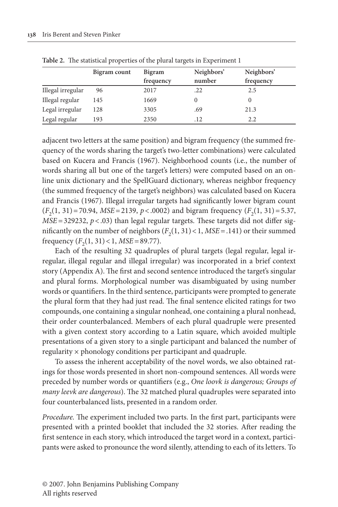|                   | Bigram count | <b>Bigram</b> | Neighbors' | Neighbors' |
|-------------------|--------------|---------------|------------|------------|
|                   |              | frequency     | number     | frequency  |
| Illegal irregular | 96           | 2017          | .22        | 2.5        |
| Illegal regular   | 145          | 1669          |            |            |
| Legal irregular   | 128          | 3305          | .69        | 21.3       |
| Legal regular     | 193          | 2350          | .12        | 2.2        |

**Table 2.** The statistical properties of the plural targets in Experiment 1

adjacent two letters at the same position) and bigram frequency (the summed frequency of the words sharing the target's two-letter combinations) were calculated based on Kucera and Francis (1967). Neighborhood counts (i.e., the number of words sharing all but one of the target's letters) were computed based on an online unix dictionary and the SpellGuard dictionary, whereas neighbor frequency (the summed frequency of the target's neighbors) was calculated based on Kucera and Francis (1967). Illegal irregular targets had significantly lower bigram count  $(F<sub>2</sub>(1, 31) = 70.94, MSE = 2139, p < .0002)$  and bigram frequency  $(F<sub>2</sub>(1, 31) = 5.37,$ *MSE* = 329232,  $p < .03$ ) than legal regular targets. These targets did not differ significantly on the number of neighbors  $(F_2(1, 31) < 1, MSE = .141)$  or their summed frequency  $(F_2(1, 31) < 1, MSE = 89.77)$ .

Each of the resulting 32 quadruples of plural targets (legal regular, legal irregular, illegal regular and illegal irregular) was incorporated in a brief context story (Appendix A). The first and second sentence introduced the target's singular and plural forms. Morphological number was disambiguated by using number words or quantifiers. In the third sentence, participants were prompted to generate the plural form that they had just read. The final sentence elicited ratings for two compounds, one containing a singular nonhead, one containing a plural nonhead, their order counterbalanced. Members of each plural quadruple were presented with a given context story according to a Latin square, which avoided multiple presentations of a given story to a single participant and balanced the number of regularity × phonology conditions per participant and quadruple.

To assess the inherent acceptability of the novel words, we also obtained ratings for those words presented in short non-compound sentences. All words were preceded by number words or quantifiers (e.g., *One loovk is dangerous; Groups of many leevk are dangerous*). The 32 matched plural quadruples were separated into four counterbalanced lists, presented in a random order.

*Procedure.* The experiment included two parts. In the first part, participants were presented with a printed booklet that included the 32 stories. After reading the first sentence in each story, which introduced the target word in a context, participants were asked to pronounce the word silently, attending to each of its letters. To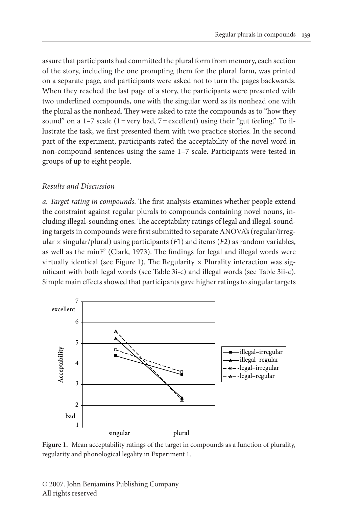assure that participants had committed the plural form from memory, each section of the story, including the one prompting them for the plural form, was printed on a separate page, and participants were asked not to turn the pages backwards. When they reached the last page of a story, the participants were presented with two underlined compounds, one with the singular word as its nonhead one with the plural as the nonhead. They were asked to rate the compounds as to "how they sound" on a  $1-7$  scale  $(1 = \text{very bad}, 7 = \text{excellent})$  using their "gut feeling." To illustrate the task, we first presented them with two practice stories. In the second part of the experiment, participants rated the acceptability of the novel word in non-compound sentences using the same 1–7 scale. Participants were tested in groups of up to eight people.

## *Results and Discussion*

*a. Target rating in compounds.* The first analysis examines whether people extend the constraint against regular plurals to compounds containing novel nouns, including illegal-sounding ones. The acceptability ratings of legal and illegal-sounding targets in compounds were first submitted to separate ANOVA's (regular/irregular  $\times$  singular/plural) using participants (*F*1) and items (*F*2) as random variables, as well as the minF' (Clark, 1973). The findings for legal and illegal words were virtually identical (see Figure 1). The Regularity  $\times$  Plurality interaction was significant with both legal words (see Table 3i-c) and illegal words (see Table 3ii-c). Simple main effects showed that participants gave higher ratings to singular targets



**Figure 1.** Mean acceptability ratings of the target in compounds as a function of plurality, regularity and phonological legality in Experiment 1.

© 2007. John Benjamins Publishing Company All rights reserved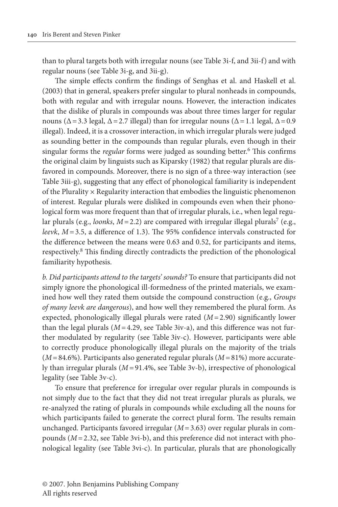than to plural targets both with irregular nouns (see Table 3i-f, and 3ii-f) and with regular nouns (see Table 3i-g, and 3ii-g).

The simple effects confirm the findings of Senghas et al. and Haskell et al. (2003) that in general, speakers prefer singular to plural nonheads in compounds, both with regular and with irregular nouns. However, the interaction indicates that the dislike of plurals in compounds was about three times larger for regular nouns ( $\Delta$  = 3.3 legal,  $\Delta$  = 2.7 illegal) than for irregular nouns ( $\Delta$  = 1.1 legal,  $\Delta$  = 0.9 illegal). Indeed, it is a crossover interaction, in which irregular plurals were judged as sounding better in the compounds than regular plurals, even though in their singular forms the *regular* forms were judged as sounding better.<sup>6</sup> This confirms the original claim by linguists such as Kiparsky (1982) that regular plurals are disfavored in compounds. Moreover, there is no sign of a three-way interaction (see Table 3iii-g), suggesting that any effect of phonological familiarity is independent of the Plurality  $\times$  Regularity interaction that embodies the linguistic phenomenon of interest. Regular plurals were disliked in compounds even when their phonological form was more frequent than that of irregular plurals, i.e., when legal regular plurals (e.g., *loonks*,  $M = 2.2$ ) are compared with irregular illegal plurals<sup>7</sup> (e.g., *leevk*, *M =* 3.5, a difference of 1.3). The 95% confidence intervals constructed for the difference between the means were 0.63 and 0.52, for participants and items, respectively.8 This finding directly contradicts the prediction of the phonological familiarity hypothesis.

*b. Did participants attend to the targets' sounds?* To ensure that participants did not simply ignore the phonological ill-formedness of the printed materials, we examined how well they rated them outside the compound construction (e.g., *Groups of many leevk are dangerous*), and how well they remembered the plural form. As expected, phonologically illegal plurals were rated (*M* = 2.90) significantly lower than the legal plurals  $(M=4.29)$ , see Table 3iv-a), and this difference was not further modulated by regularity (see Table 3iv-c). However, participants were able to correctly produce phonologically illegal plurals on the majority of the trials (*M* = 84.6%). Participants also generated regular plurals (*M =* 81%) more accurately than irregular plurals (*M =* 91.4%, see Table 3v-b), irrespective of phonological legality (see Table 3v-c).

To ensure that preference for irregular over regular plurals in compounds is not simply due to the fact that they did not treat irregular plurals as plurals, we re-analyzed the rating of plurals in compounds while excluding all the nouns for which participants failed to generate the correct plural form. The results remain unchanged. Participants favored irregular (*M* = 3.63) over regular plurals in compounds (*M* = 2.32, see Table 3vi-b), and this preference did not interact with phonological legality (see Table 3vi-c). In particular, plurals that are phonologically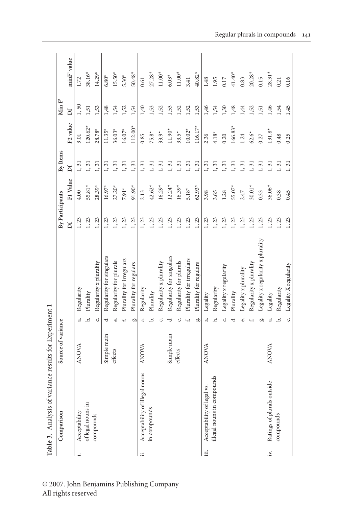|     | Table 3. Analysis of variance results for Experiment 1 |                    |        |                                   |                 |          |          |                      |                    |             |
|-----|--------------------------------------------------------|--------------------|--------|-----------------------------------|-----------------|----------|----------|----------------------|--------------------|-------------|
|     | Comparison                                             | Source of variance |        |                                   | By Participants |          | By Items |                      | Min $\mathbb{F}^2$ |             |
|     |                                                        |                    |        |                                   | Ďf              | F1 Value | Df       | F <sub>2</sub> value | ď                  | minF' value |
|     | Acceptability                                          | <b>ANOVA</b>       | ನ      | Regularity                        | 1, 23           | 4.00     | 1, 31    | 3.01                 | 1, 50              | 1.72        |
|     | of legal nouns in                                      |                    | .<br>م | Plurality                         | 1,23            | 55.81*   | 1, 31    | $120.62*$            | 1,51               | 38.16*      |
|     | compounds                                              |                    | ن      | Regularity x plurality            | 1, 23           | $28.39*$ | 1, 31    | 28.78*               | 1,53               | $14.29*$    |
|     |                                                        | Simple main        | ರ      | Regularity for singulars          | 1, 23           | $16.97*$ | 1, 31    | $11.35*$             | 1,48               | $6.80*$     |
|     |                                                        | effects            | نە     | Regularity for plurals            | 1, 23           | $27.20*$ | 1, 31    | 36.03*               | 1,54               | $15.50*$    |
|     |                                                        |                    |        | Plurality for irregulars          | 1, 23           | $7.91*$  | 1, 31    | $16.07*$             | 1,52               | $5.30*$     |
|     |                                                        |                    | ä      | Plurality for regulars            | 1, 23           | 91.90*   | 1, 31    | $112.00*$            | 1,54               | $50.48*$    |
| :E  | Acceptability of illegal nouns                         | <b>ANOVA</b>       | 4      | Regularity                        | 1, 23           | 2.13     | 1, 31    | 0.85                 | 1,40               | 0.61        |
|     | in compounds                                           |                    | م      | Plurality                         | 1, 23           | $42.62*$ | 1, 31    | $75.8*$              | 1,53               | $27.28*$    |
|     |                                                        |                    | ن      | Regularity x plurality            | 1, 23           | $16.29*$ | 1, 31    | $33.9*$              | 1,52               | $11.00*$    |
|     |                                                        | Simple main        | ರ      | Regularity for singulars          | 1, 23           | $12.24*$ | 1, 31    | $11.90*$             | 1,53               | $6.03*$     |
|     |                                                        | effects            | ئە     | Regularity for plurals            | 1, 23           | $16.39*$ | 1, 31    | $33.5*$              | 1,52               | $11.00*$    |
|     |                                                        |                    |        | Plurality for irregulars          | 1, 23           | $5.18*$  | 1, 31    | $10.02*$             | 1,52               | 3.41        |
|     |                                                        |                    | ä      | Plurality for regulars            | 1, 23           | $62.93*$ | 1, 31    | 116.17*              | 1,53               | $40.82*$    |
| щİ  | Acceptability of legal vs                              | ANOVA              | ನ      | Legality                          | 1, 23           | 3.98     | 1, 31    | 2.36                 | 1,46               | 1.48        |
|     | illegal nouns in compounds                             |                    | ه      | Regularity                        | 1,23            | 3.65     | 1, 31    | $4.18*$              | 1,54               | 1.95        |
|     |                                                        |                    |        | Legality x regularity             | 1, 23           | 1.28     | 1, 31    | 0.20                 | 1,30               | $0.17$      |
|     |                                                        |                    |        | Plurality                         | 1, 23           | 55.07*   | 1, 31    | $166.83*$            | 1,48               | $41.40*$    |
|     |                                                        |                    |        | Legality x plurality              | 1, 23           | 2.47     | 1, 31    | 1.24                 | 1,44               | 0.83        |
|     |                                                        |                    |        | Regularity x plurality            | 1, 23           | $30.01*$ | 1, 31    | $62.6*$              | 1,52               | $20.28*$    |
|     |                                                        |                    | ä      | Legality x regularity x plurality | 1, 23           | 0.33     | 1, 31    | 0.27                 | 1,51               | 0.15        |
| i×. | Ratings of plurals outside                             | <b>ANOVA</b>       | ನ      | Legality                          | 1, 23           | 36.06*   | 1, 31    | $131.8*$             | 1,46               | $28.31*$    |
|     | compounds                                              |                    | .<br>ف | Regularity                        | 1, 23           | 0.38     | 1, 31    | 0.48                 | 1,54               | 0.21        |
|     |                                                        |                    | Ċ,     | Legality X regularity             | 1, 23           | 0.45     | 1, 31    | 0.25                 | 1,45               | 0.16        |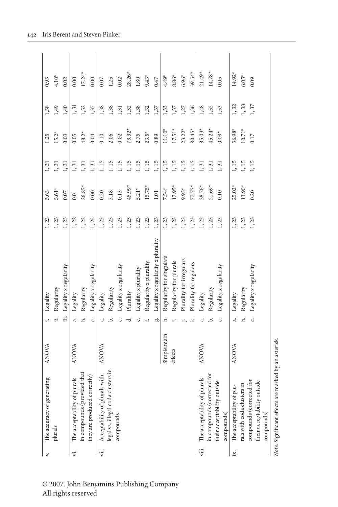| ₹.    | The accuracy of generating                              | <b>ANOVA</b> |                 | Legality                          | 1, 23 | 3.63     | $1, 31$ | 1.25     | 1,38  | 0.93     |
|-------|---------------------------------------------------------|--------------|-----------------|-----------------------------------|-------|----------|---------|----------|-------|----------|
|       | plurals                                                 |              | :≓              | Regularity                        | 1, 23 | $5.61*$  | 1, 31   | $15.2*$  | 1,49  | $4.10*$  |
|       |                                                         |              | Ξ               | Legality x regularity             | 1, 23 | 0.07     | 1, 31   | 0.03     | 1,40  | 0.02     |
| Ϋ́.   | The acceptability of plurals                            | <b>ANOVA</b> | $\ddot{ }$      | Legality                          | 1, 22 | 0.0      | 1, 31   | 0.05     | 1, 31 | 0.00     |
|       | in compounds (provided that                             |              | .<br>ف          | Regularity                        | 1, 22 | 26.85*   | 1, 31   | $48.2*$  | 1,52  | $17.24*$ |
|       | they are produced correctly)                            |              | ن               | Legality x regularity             | 1, 22 | 0.00     | 1, 31   | 0.04     | 1,37  | 0.00     |
| ÿii.  | Acceptability of plurals with                           | ANOVA        | ್               | Legality                          | 1, 23 | 0.20     | 1,15    | 0.10     | 1,38  | 0.07     |
|       | legal vs. illegal coda clusters in                      |              | خ               | Regularity                        | 1, 23 | 3.18     | 1, 15   | 2.06     | 1,38  | 1.25     |
|       | compounds                                               |              | ن               | Legality x regularity             | 1, 23 | 0.13     | 1, 15   | 0.02     | 1,31  | 0.02     |
|       |                                                         |              | ರ               | Plurality                         | 1, 23 | 45.99*   | 1, 15   | $73.32*$ | 1,32  | $28.26*$ |
|       |                                                         |              | نه              | Legality x plurality              | 1, 23 | $5.21*$  | 1, 15   | 2.75     | 1,38  | $1.80\,$ |
|       |                                                         |              |                 | Regularity x plurality            | 1, 23 | $15.75*$ | 1, 15   | $23.5*$  | 1,32  | $9.43*$  |
|       |                                                         |              | àо              | Legality x regularity x plurality | 1, 23 | $1.01\,$ | 1,15    | 0.89     | 1,37  | 0.47     |
|       |                                                         | Simple main  | Έ.              | Regularity for singulars          | 1, 23 | $7.54*$  | 1, 15   | $11.10*$ | 1,33  | $4.49*$  |
|       |                                                         | effects      |                 | Regularity for plurals            | 1, 23 | $17.95*$ | 1, 15   | $17.51*$ | 1,37  | $8.86*$  |
|       |                                                         |              |                 | Plurality for irregulars          | 1, 23 | $9.93*$  | 1,15    | $23.22*$ | 1,27  | $6.96*$  |
|       |                                                         |              | ∸               | Plurality for regulars            | 1, 23 | 77.75*   | 1,15    | 80.45*   | 1,36  | $39.54*$ |
| viii. | The acceptability of plurals                            | <b>ANOVA</b> | $\dot{\sigma}$  | Legality                          | 1, 23 | 28.76*   | 1, 31   | 85.03*   | 1,48  | $21.49*$ |
|       | in compounds (corrected for                             |              | .<br>ف          | Regularity                        | 1, 23 | $21.69*$ | 1, 31   | $45.24*$ | 1,52  | $14.78*$ |
|       | their acceptability outside<br>compounds)               |              | Ċ.              | Legality x regularity             | 1, 23 | 0.10     | 1, 31   | $0.09*$  | 1,53  | 0.05     |
| Ä.    | The acceptability of plu-                               | ANOVA        | $\ddot{\sigma}$ | Legality                          | 1, 23 | $25.02*$ | 1, 15   | 36.98*   | 1, 32 | $14.92*$ |
|       | rals with coda clusters in                              |              | .<br>ف          | Regularity                        | 1, 23 | $13.90*$ | 1, 15   | $10.71*$ | 1,38  | $6.05*$  |
|       | compounds (corrected for<br>their acceptability outside |              | Ċ,              | Legality x regularity             | 1, 23 | 0.20     | 1, 15   | 0.17     | 1, 37 | 0.09     |
|       | compounds)                                              |              |                 |                                   |       |          |         |          |       |          |
|       | Note. Significant effects are marked by an asterisk     |              |                 |                                   |       |          |         |          |       |          |

© 2007. John Benjamins Publishing Company All rights reserved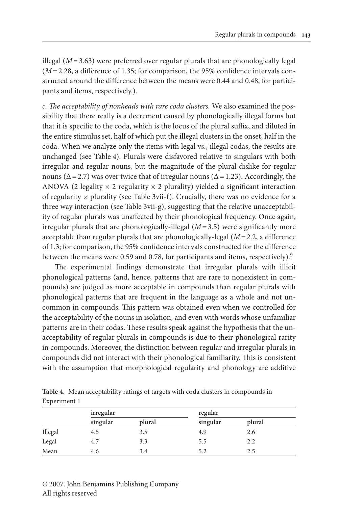illegal  $(M=3.63)$  were preferred over regular plurals that are phonologically legal (*M* = 2.28, a difference of 1.35; for comparison, the 95% confidence intervals constructed around the difference between the means were 0.44 and 0.48, for participants and items, respectively.).

*c. The acceptability of nonheads with rare coda clusters.* We also examined the possibility that there really is a decrement caused by phonologically illegal forms but that it is specific to the coda, which is the locus of the plural suffix, and diluted in the entire stimulus set, half of which put the illegal clusters in the onset, half in the coda. When we analyze only the items with legal vs., illegal codas, the results are unchanged (see Table 4). Plurals were disfavored relative to singulars with both irregular and regular nouns, but the magnitude of the plural dislike for regular nouns ( $\Delta$  = 2.7) was over twice that of irregular nouns ( $\Delta$  = 1.23). Accordingly, the ANOVA (2 legality  $\times$  2 regularity  $\times$  2 plurality) yielded a significant interaction of regularity  $\times$  plurality (see Table 3vii-f). Crucially, there was no evidence for a three way interaction (see Table 3vii-g), suggesting that the relative unacceptability of regular plurals was unaffected by their phonological frequency. Once again, irregular plurals that are phonologically-illegal (*M* = 3.5) were significantly more acceptable than regular plurals that are phonologically-legal (*M* = 2.2, a difference of 1.3; for comparison, the 95% confidence intervals constructed for the difference between the means were 0.59 and 0.78, for participants and items, respectively).<sup>9</sup>

The experimental findings demonstrate that irregular plurals with illicit phonological patterns (and, hence, patterns that are rare to nonexistent in compounds) are judged as more acceptable in compounds than regular plurals with phonological patterns that are frequent in the language as a whole and not uncommon in compounds. This pattern was obtained even when we controlled for the acceptability of the nouns in isolation, and even with words whose unfamiliar patterns are in their codas. These results speak against the hypothesis that the unacceptability of regular plurals in compounds is due to their phonological rarity in compounds. Moreover, the distinction between regular and irregular plurals in compounds did not interact with their phonological familiarity. This is consistent with the assumption that morphological regularity and phonology are additive

|              | Table 4. Mean acceptability ratings of targets with coda clusters in compounds in |  |  |  |  |
|--------------|-----------------------------------------------------------------------------------|--|--|--|--|
| Experiment 1 |                                                                                   |  |  |  |  |

|         | irregular |        | regular  |        |  |
|---------|-----------|--------|----------|--------|--|
|         | singular  | plural | singular | plural |  |
| Illegal | 4.5       | 3.5    | 4.9      | 2.6    |  |
| Legal   | 4.7       | 3.3    | 5.5      | 2.2    |  |
| Mean    | 4.6       | 3.4    | 5.2      | 2.5    |  |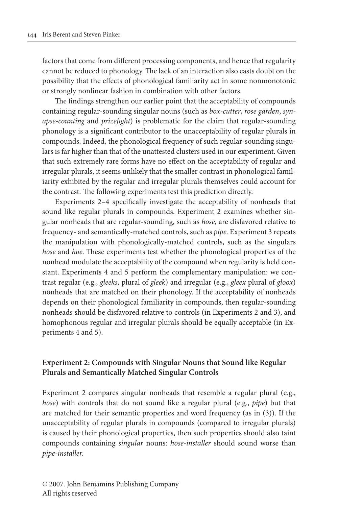factors that come from different processing components, and hence that regularity cannot be reduced to phonology. The lack of an interaction also casts doubt on the possibility that the effects of phonological familiarity act in some nonmonotonic or strongly nonlinear fashion in combination with other factors.

The findings strengthen our earlier point that the acceptability of compounds containing regular-sounding singular nouns (such as *box-cutter*, *rose garden*, *synapse-counting* and *prizefight*) is problematic for the claim that regular-sounding phonology is a significant contributor to the unacceptability of regular plurals in compounds. Indeed, the phonological frequency of such regular-sounding singulars is far higher than that of the unattested clusters used in our experiment. Given that such extremely rare forms have no effect on the acceptability of regular and irregular plurals, it seems unlikely that the smaller contrast in phonological familiarity exhibited by the regular and irregular plurals themselves could account for the contrast. The following experiments test this prediction directly.

Experiments 2–4 specifically investigate the acceptability of nonheads that sound like regular plurals in compounds. Experiment 2 examines whether singular nonheads that are regular-sounding, such as *hose*, are disfavored relative to frequency- and semantically-matched controls, such as *pipe*. Experiment 3 repeats the manipulation with phonologically-matched controls, such as the singulars *hose* and *hoe*. These experiments test whether the phonological properties of the nonhead modulate the acceptability of the compound when regularity is held constant. Experiments 4 and 5 perform the complementary manipulation: we contrast regular (e.g., *gleeks*, plural of *gleek*) and irregular (e.g., *gleex* plural of *gloox*) nonheads that are matched on their phonology. If the acceptability of nonheads depends on their phonological familiarity in compounds, then regular-sounding nonheads should be disfavored relative to controls (in Experiments 2 and 3), and homophonous regular and irregular plurals should be equally acceptable (in Experiments 4 and 5).

## **Experiment 2: Compounds with Singular Nouns that Sound like Regular Plurals and Semantically Matched Singular Controls**

Experiment 2 compares singular nonheads that resemble a regular plural (e.g., *hose*) with controls that do not sound like a regular plural (e.g., *pipe*) but that are matched for their semantic properties and word frequency (as in (3)). If the unacceptability of regular plurals in compounds (compared to irregular plurals) is caused by their phonological properties, then such properties should also taint compounds containing *singular* nouns: *hose-installer* should sound worse than *pipe-installer.*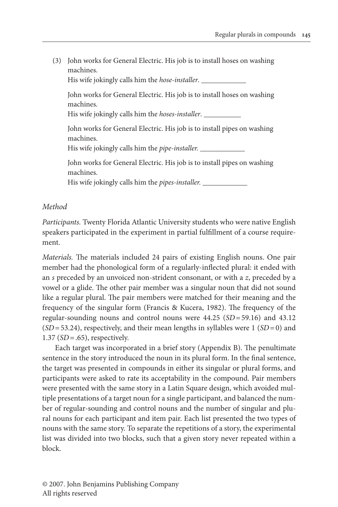(3) John works for General Electric. His job is to install hoses on washing machines. His wife jokingly calls him the *hose-installer*. John works for General Electric. His job is to install hoses on washing machines. His wife jokingly calls him the *hoses-installer*. \_\_\_\_\_\_\_\_\_\_ John works for General Electric. His job is to install pipes on washing machines. His wife jokingly calls him the *pipe-installer.* \_\_\_\_\_\_\_\_\_\_\_\_ John works for General Electric. His job is to install pipes on washing machines. His wife jokingly calls him the *pipes-installer.* \_\_\_\_\_\_\_\_\_\_\_\_

## *Method*

*Participants.* Twenty Florida Atlantic University students who were native English speakers participated in the experiment in partial fulfillment of a course requirement.

*Materials.* The materials included 24 pairs of existing English nouns. One pair member had the phonological form of a regularly-inflected plural: it ended with an *s* preceded by an unvoiced non-strident consonant, or with a *z*, preceded by a vowel or a glide. The other pair member was a singular noun that did not sound like a regular plural. The pair members were matched for their meaning and the frequency of the singular form (Francis & Kucera, 1982). The frequency of the regular-sounding nouns and control nouns were 44.25 (*SD* = 59.16) and 43.12  $(SD = 53.24)$ , respectively, and their mean lengths in syllables were 1  $(SD = 0)$  and 1.37 (*SD* = .65), respectively.

Each target was incorporated in a brief story (Appendix B). The penultimate sentence in the story introduced the noun in its plural form. In the final sentence, the target was presented in compounds in either its singular or plural forms, and participants were asked to rate its acceptability in the compound. Pair members were presented with the same story in a Latin Square design, which avoided multiple presentations of a target noun for a single participant, and balanced the number of regular-sounding and control nouns and the number of singular and plural nouns for each participant and item pair. Each list presented the two types of nouns with the same story. To separate the repetitions of a story, the experimental list was divided into two blocks, such that a given story never repeated within a block.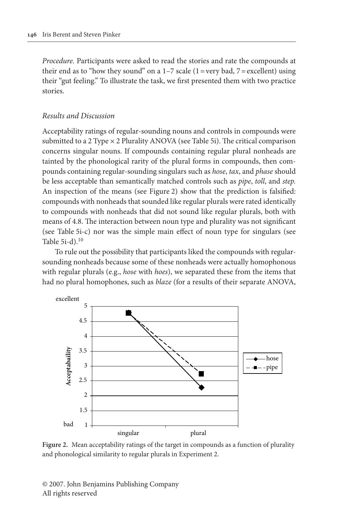*Procedure.* Participants were asked to read the stories and rate the compounds at their end as to "how they sound" on a  $1-7$  scale ( $1$  = very bad,  $7$  = excellent) using their "gut feeling." To illustrate the task, we first presented them with two practice stories.

## *Results and Discussion*

Acceptability ratings of regular-sounding nouns and controls in compounds were submitted to a 2 Type  $\times$  2 Plurality ANOVA (see Table 5i). The critical comparison concerns singular nouns. If compounds containing regular plural nonheads are tainted by the phonological rarity of the plural forms in compounds, then compounds containing regular-sounding singulars such as *hose*, *tax*, and *phase* should be less acceptable than semantically matched controls such as *pipe*, *toll*, and *step.*  An inspection of the means (see Figure 2) show that the prediction is falsified: compounds with nonheads that sounded like regular plurals were rated identically to compounds with nonheads that did not sound like regular plurals, both with means of 4.8. The interaction between noun type and plurality was not significant (see Table 5i-c) nor was the simple main effect of noun type for singulars (see Table 5i-d).10

To rule out the possibility that participants liked the compounds with regularsounding nonheads because some of these nonheads were actually homophonous with regular plurals (e.g., *hose* with *hoes*), we separated these from the items that had no plural homophones, such as *blaze* (for a results of their separate ANOVA,



**Figure 2.** Mean acceptability ratings of the target in compounds as a function of plurality and phonological similarity to regular plurals in Experiment 2.

© 2007. John Benjamins Publishing Company All rights reserved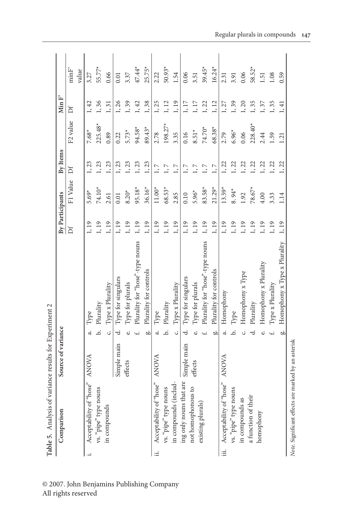|       | Table 5. Analysis of variance results for Experiment 2 |                    |                |                                 |                 |          |          |                      |         |                   |
|-------|--------------------------------------------------------|--------------------|----------------|---------------------------------|-----------------|----------|----------|----------------------|---------|-------------------|
|       | Comparison                                             | Source of variance |                |                                 | By Participants |          | By Items |                      | Min $F$ |                   |
|       |                                                        |                    |                |                                 | Df              | F1 Value | ď        | F <sub>2</sub> value | Ďf      | minF <sup>2</sup> |
|       |                                                        |                    |                |                                 |                 |          |          |                      |         | value             |
|       | Acceptability of "hose"                                | <b>ANOVA</b>       | ನ              | Type                            | 1, 19           | $5.69*$  | 1, 23    | $7.68*$              | 1, 42   | 3.27              |
|       | vs. "pipe" type nouns                                  |                    | .<br>ف         | Plurality                       | 1, 19           | 74.10*   | 1, 23    | $225.48*$            | 1,36    | 55.77*            |
|       | in compounds                                           |                    | ن              | Type x Plurality                | 1,19            | 2.61     | 1, 23    | 0.89                 | 1, 31   | 0.66              |
|       |                                                        | Simple main        | ₹.             | Type for singulars              | 1,19            | 0.01     | 1, 23    | 0.22                 | 1,26    | 0.01              |
|       |                                                        | effects            |                | Type for plurals                | 1,19            | $8.20*$  | 1, 23    | $5.73*$              | 1, 39   | 3.37              |
|       |                                                        |                    |                | Plurality for "hose"-type nouns | 1, 19           | 95.18*   | 1, 23    | 94.58*               | 1, 42   | 47.44*            |
|       |                                                        |                    | ä              | Plurality for controls          | 1,19            | 36.16*   | 1,23     | 89.43*               | 1,38    | $25.75*$          |
| ∷∺    | Acceptability of "hose"                                | <b>ANOVA</b>       | $\dot{\sigma}$ | Type                            | 1, 19           | $11.00*$ | 1, 7     | 2.78                 | 1,25    | 2.22              |
|       | vs. "pipe" type nouns                                  |                    | .<br>ظ         | Plurality                       | 1,19            | $68.53*$ | $1, 7$   | $198.27*$            | 1, 12   | $50.93*$          |
|       | in compounds (includ                                   |                    | ن              | Type x Plurality                | 1,19            | 2.85     | $1, 7$   | 3.35                 | 1,19    | 1.54              |
|       | ing only nouns that are                                | Simple main        | ರ              | Type for singulars              | 1,19            | 0.10     | 1, 7     | 0.16                 | 1,17    | 0.06              |
|       | not homophonous to                                     | effects            |                | Type for plurals                | 1,19            | $5.96*$  | 1, 7     | $8.51*$              | 1,17    | 3.51              |
|       | existing plurals)                                      |                    |                | Plurality for "hose"-type nouns | 1,19            | 83.58*   | $1, 7$   | 74.70*               | 1, 22   | $39.45*$          |
|       |                                                        |                    | ä              | Plurality for controls          | 1,19            | $21.29*$ | $1, 7$   | 68.38*               | 1, 12   | $16.24*$          |
| <br>≔ | Acceptability of "hose"                                | <b>ANOVA</b>       | 4              | Homophony                       | 1, 19           | $13.59*$ | 1, 22    | 2.79                 | 1, 27   | 2.31              |
|       | vs. "pipe" type nouns                                  |                    |                | Type                            | 1, 19           | $8.94*$  | 1, 22    | $6.96*$              | 1, 39   | 3.91              |
|       | in compounds as<br>${\bf a}$ function of their         |                    |                | Homophony x Type                | 1,19            | 1.92     | 1, 22    | 0.06                 | 1, 20   | 0.06              |
|       |                                                        |                    |                | Plurality                       | 1, 19           | $78.67*$ | 1, 22    | $228.40*$            | 1,35    | 58.52*            |
|       | homophony                                              |                    | نە             | Homophony x Plurality           | 1, 19           | 4.00     | 1, 22    | 2.44                 | 1,37    | 1.51              |
|       |                                                        |                    |                | Type x Plurality                | 1, 19           | 3.33     | 1, 22    | L <sub>59</sub>      | 1,35    | 1.08              |
|       |                                                        |                    | òю             | Homophony x Type x Plurality    | 1,19            | 1.14     | 1, 22    | 1.21                 | 1, 41   | 0.59              |
|       | Note. Significant effects are marked by an asterisk    |                    |                |                                 |                 |          |          |                      |         |                   |

## © 2007. John Benjamins Publishing Company All rights reserved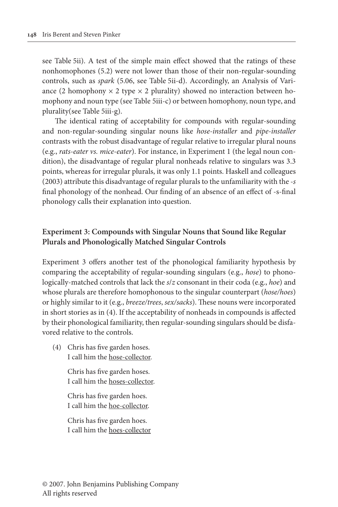see Table 5ii). A test of the simple main effect showed that the ratings of these nonhomophones (5.2) were not lower than those of their non-regular-sounding controls, such as *spark* (5.06, see Table 5ii-d). Accordingly, an Analysis of Variance (2 homophony  $\times$  2 type  $\times$  2 plurality) showed no interaction between homophony and noun type (see Table 5iii-c) or between homophony, noun type, and plurality(see Table 5iii-g).

The identical rating of acceptability for compounds with regular-sounding and non-regular-sounding singular nouns like *hose-installer* and *pipe-installer*  contrasts with the robust disadvantage of regular relative to irregular plural nouns (e.g., *rats-eater vs. mice-eater*). For instance, in Experiment 1 (the legal noun condition), the disadvantage of regular plural nonheads relative to singulars was 3.3 points, whereas for irregular plurals, it was only 1.1 points. Haskell and colleagues (2003) attribute this disadvantage of regular plurals to the unfamiliarity with the *-s* final phonology of the nonhead. Our finding of an absence of an effect of -s-final phonology calls their explanation into question.

## **Experiment 3: Compounds with Singular Nouns that Sound like Regular Plurals and Phonologically Matched Singular Controls**

Experiment 3 offers another test of the phonological familiarity hypothesis by comparing the acceptability of regular-sounding singulars (e.g., *hose*) to phonologically-matched controls that lack the *s*/*z* consonant in their coda (e.g., *hoe*) and whose plurals are therefore homophonous to the singular counterpart (*hose/hoes*) or highly similar to it (e.g., *breeze/trees*, *sex/sacks*). These nouns were incorporated in short stories as in (4). If the acceptability of nonheads in compounds is affected by their phonological familiarity, then regular-sounding singulars should be disfavored relative to the controls.

 (4) Chris has five garden hoses. I call him the hose-collector.

> Chris has five garden hoses. I call him the hoses-collector.

 Chris has five garden hoes. I call him the hoe-collector.

 Chris has five garden hoes. I call him the hoes-collector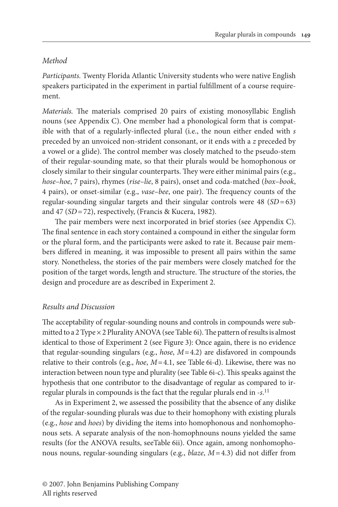## *Method*

*Participants.* Twenty Florida Atlantic University students who were native English speakers participated in the experiment in partial fulfillment of a course requirement.

*Materials.* The materials comprised 20 pairs of existing monosyllabic English nouns (see Appendix C). One member had a phonological form that is compatible with that of a regularly-inflected plural (i.e., the noun either ended with *s* preceded by an unvoiced non-strident consonant, or it ends with a *z* preceded by a vowel or a glide). The control member was closely matched to the pseudo-stem of their regular-sounding mate, so that their plurals would be homophonous or closely similar to their singular counterparts. They were either minimal pairs (e.g., *hose–hoe*, 7 pairs), rhymes (*rise–lie*, 8 pairs), onset and coda-matched (*box–book*, 4 pairs), or onset-similar (e.g., *vase–bee*, one pair). The frequency counts of the regular-sounding singular targets and their singular controls were 48 (*SD* = 63) and 47 (*SD* = 72), respectively, (Francis & Kucera, 1982).

The pair members were next incorporated in brief stories (see Appendix C). The final sentence in each story contained a compound in either the singular form or the plural form, and the participants were asked to rate it. Because pair members differed in meaning, it was impossible to present all pairs within the same story. Nonetheless, the stories of the pair members were closely matched for the position of the target words, length and structure. The structure of the stories, the design and procedure are as described in Experiment 2.

## *Results and Discussion*

The acceptability of regular-sounding nouns and controls in compounds were submitted to a 2 Type × 2 Plurality ANOVA (see Table 6i). The pattern of results is almost identical to those of Experiment 2 (see Figure 3): Once again, there is no evidence that regular-sounding singulars (e.g., *hose*, *M* = 4.2) are disfavored in compounds relative to their controls (e.g., *hoe*, *M* = 4.1, see Table 6i-d). Likewise, there was no interaction between noun type and plurality (see Table 6i-c). This speaks against the hypothesis that one contributor to the disadvantage of regular as compared to irregular plurals in compounds is the fact that the regular plurals end in -*s*. 11

As in Experiment 2, we assessed the possibility that the absence of any dislike of the regular-sounding plurals was due to their homophony with existing plurals (e.g., *hose* and *hoes*) by dividing the items into homophonous and nonhomophonous sets. A separate analysis of the non-homophnouns nouns yielded the same results (for the ANOVA results, seeTable 6ii). Once again, among nonhomophonous nouns, regular-sounding singulars (e.g., *blaze*, *M =* 4.3) did not differ from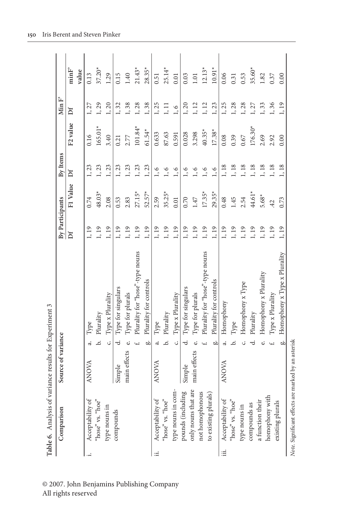|            | Table 6. Analysis of variance results for Experiment 3                                  |                    |        |                                 |                 |          |          |                      |         |          |
|------------|-----------------------------------------------------------------------------------------|--------------------|--------|---------------------------------|-----------------|----------|----------|----------------------|---------|----------|
|            | Comparison                                                                              | Source of variance |        |                                 | By Participants |          | By Items |                      | Min $F$ |          |
|            |                                                                                         |                    |        |                                 | ă               | F1 Value | Ďf       | F <sub>2</sub> value | Ďf      | minF     |
|            |                                                                                         |                    |        |                                 |                 |          |          |                      |         | value    |
|            | Acceptability of                                                                        | ANOVA              | ನ      | Type                            | 1, 19           | 0.74     | 1, 23    | 0.16                 | 1, 27   | 0.13     |
|            | "hose" vs. "hoe"                                                                        |                    | ة      | Plurality                       | 1, 19           | 48.03*   | 1, 23    | $165.01*$            | 1, 29   | $37.20*$ |
|            | type nouns in                                                                           |                    | Ċ.     | Type x Plurality                | 1, 19           | 2.08     | 1, 23    | 3.40                 | 1, 20   | 1.29     |
|            | compounds                                                                               | Simple             | ಕ      | Type for singulars              | 1, 19           | 0.53     | 1, 23    | 0.21                 | 1, 32   | 0.15     |
|            |                                                                                         | main effects       | نه     | Type for plurals                | 1, 19           | 2.83     | 1, 23    | 2.77                 | 1, 38   | 1.40     |
|            |                                                                                         |                    |        | Plurality for "hose"-type nouns | 1, 19           | $27.15*$ | 1, 23    | $101.84*$            | 1,28    | $21.43*$ |
|            |                                                                                         |                    | ä      | Plurality for controls          | 1, 19           | $52.57*$ | 1,23     | $61.54*$             | 1,38    | $28.35*$ |
| $\ddot{=}$ | $\begin{array}{l} {\rm Acceptability~of}\\ {\rm 'hose''~vs.~ }{\rm 'hoe''} \end{array}$ | <b>ANOVA</b>       | ಹ      | Type                            | 1, 19           | 2.59     | 1, 6     | 0.633                | 1,25    | 0.51     |
|            |                                                                                         |                    | .<br>ت | Plurality                       | 1, 19           | $35.25*$ | 1, 6     | 87.63                | 1, 11   | $25.14*$ |
|            | type nouns in com-                                                                      |                    | Ċ.     | Type x Plurality                | 1, 19           | 0.01     | $1, 6$   | 0.591                | 1, 6    | 0.01     |
|            | pounds (including                                                                       | Simple             | ಕ      | Type for singulars              | 1, 19           | 0.70     | 1, 6     | 0.028                | 1, 20   | 0.03     |
|            | only nouns that are                                                                     | main effects       |        | Type for plurals                | 1, 19           | 1.47     | 1, 6     | 3.298                | 1, 12   | 1.01     |
|            | not homophonous                                                                         |                    |        | Plurality for "hose"-type nouns | 1, 19           | $17.35*$ | 1, 6     | $40.35*$             | 1, 12   | $12.13*$ |
|            | to existing plurals)                                                                    |                    | ä      | Plurality for controls          | 1, 19           | $29.35*$ | 1, 6     | $17.38*$             | 1, 23   | $10.91*$ |
| :≡i        | $\begin{array}{c} {\rm Acceptability~of}\\ {\rm 'hose''~vs.~``hoe''} \end{array}$       | <b>ANOVA</b>       | ಹ      | Homophony                       | 1, 19           | 0.48     | 1,18     | 0.08                 | 1,25    | 0.06     |
|            |                                                                                         |                    | ó      | Type                            | 1, 19           | 1.45     | 1, 18    | 0.39                 | 1, 28   | 0.31     |
|            | type nouns in                                                                           |                    |        | Homophony x Type                | 1, 19           | 2.54     | 1,18     | 0.67                 | 1,28    | 0.53     |
|            | compounds as                                                                            |                    |        | Plurality                       | 1, 19           | $44.61*$ | 1, 18    | $176.30*$            | 1, 27   | $35.60*$ |
|            | a function their                                                                        |                    | نه     | Homophony x Plurality           | 1, 19           | $5.68*$  | 1, 18    | 2.69                 | 1, 33   | 1.82     |
|            | homophony with                                                                          |                    |        | Type x Plurality                | 1, 19           | 42       | 1,18     | 2.92                 | 1,36    | 0.37     |
|            | existing plurals                                                                        |                    | ъò     | Homophony x Type x Plurality    | 1, 19           | 0.73     | 1, 18    | 0.00                 | 1,19    | 0.00     |
|            | Note. Significant effects are marked by an asterisk                                     |                    |        |                                 |                 |          |          |                      |         |          |

## © 2007. John Benjamins Publishing Company All rights reserved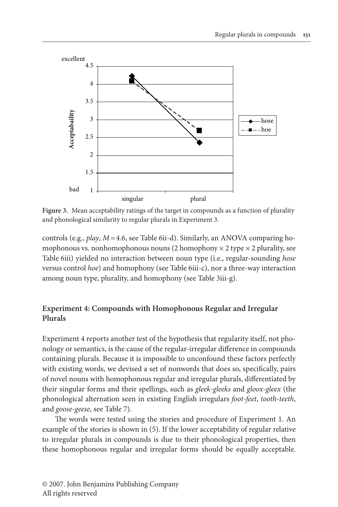

**Figure 3.** Mean acceptability ratings of the target in compounds as a function of plurality and phonological similarity to regular plurals in Experiment 3.

controls (e.g., *play*, *M =* 4.6, see Table 6ii-d). Similarly, an ANOVA comparing homophonous vs. nonhomophonous nouns (2 homophony  $\times$  2 type  $\times$  2 plurality, see Table 6iii) yielded no interaction between noun type (i.e., regular-sounding *hose* versus control *hoe*) and homophony (see Table 6iii-c), nor a three-way interaction among noun type, plurality, and homophony (see Table 3iii-g).

## **Experiment 4: Compounds with Homophonous Regular and Irregular Plurals**

Experiment 4 reports another test of the hypothesis that regularity itself, not phonology or semantics, is the cause of the regular-irregular difference in compounds containing plurals. Because it is impossible to unconfound these factors perfectly with existing words, we devised a set of nonwords that does so, specifically, pairs of novel nouns with homophonous regular and irregular plurals, differentiated by their singular forms and their spellings, such as *gleek-gleeks* and *gloox-gleex* (the phonological alternation seen in existing English irregulars *foot-feet*, *tooth-teeth*, and *goose-geese*, see Table 7).

The words were tested using the stories and procedure of Experiment 1. An example of the stories is shown in (5). If the lower acceptability of regular relative to irregular plurals in compounds is due to their phonological properties, then these homophonous regular and irregular forms should be equally acceptable.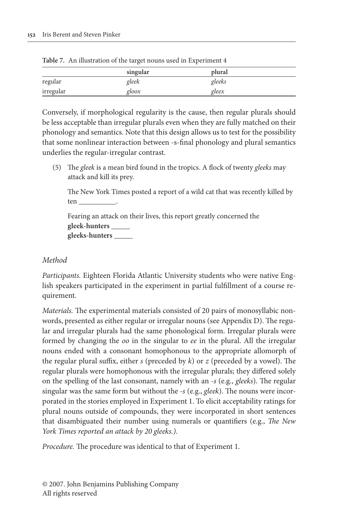|           | singular | plural |  |
|-----------|----------|--------|--|
| regular   | gleek    | gleeks |  |
| irregular | gloox    | gleex  |  |

**Table 7.** An illustration of the target nouns used in Experiment 4

Conversely, if morphological regularity is the cause, then regular plurals should be less acceptable than irregular plurals even when they are fully matched on their phonology and semantics. Note that this design allows us to test for the possibility that some nonlinear interaction between -s-final phonology and plural semantics underlies the regular-irregular contrast.

 (5) The *gleek* is a mean bird found in the tropics. A flock of twenty *gleeks* may attack and kill its prey.

 The New York Times posted a report of a wild cat that was recently killed by ten \_\_\_\_\_\_\_\_\_\_.

 Fearing an attack on their lives, this report greatly concerned the  **gleek-hunters** \_\_\_\_\_  **gleeks-hunters** \_\_\_\_\_

## *Method*

*Participants.* Eighteen Florida Atlantic University students who were native English speakers participated in the experiment in partial fulfillment of a course requirement.

*Materials.* The experimental materials consisted of 20 pairs of monosyllabic nonwords, presented as either regular or irregular nouns (see Appendix D). The regular and irregular plurals had the same phonological form. Irregular plurals were formed by changing the *oo* in the singular to *ee* in the plural. All the irregular nouns ended with a consonant homophonous to the appropriate allomorph of the regular plural suffix, either *s* (preceded by *k*) or *z* (preceded by a vowel). The regular plurals were homophonous with the irregular plurals; they differed solely on the spelling of the last consonant, namely with an *-s* (e.g., *gleeks*). The regular singular was the same form but without the *-s* (e.g., *gleek*). The nouns were incorporated in the stories employed in Experiment 1. To elicit acceptability ratings for plural nouns outside of compounds, they were incorporated in short sentences that disambiguated their number using numerals or quantifiers (e.g., *The New York Times reported an attack by 20 gleeks.)*.

*Procedure.* The procedure was identical to that of Experiment 1.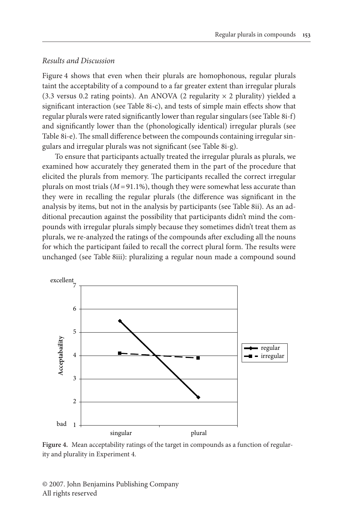## *Results and Discussion*

Figure 4 shows that even when their plurals are homophonous, regular plurals taint the acceptability of a compound to a far greater extent than irregular plurals (3.3 versus 0.2 rating points). An ANOVA (2 regularity  $\times$  2 plurality) yielded a significant interaction (see Table 8i-c), and tests of simple main effects show that regular plurals were rated significantly lower than regular singulars (see Table 8i-f) and significantly lower than the (phonologically identical) irregular plurals (see Table 8i-e). The small difference between the compounds containing irregular singulars and irregular plurals was not significant (see Table 8i-g).

To ensure that participants actually treated the irregular plurals as plurals, we examined how accurately they generated them in the part of the procedure that elicited the plurals from memory. The participants recalled the correct irregular plurals on most trials  $(M=91.1\%)$ , though they were somewhat less accurate than they were in recalling the regular plurals (the difference was significant in the analysis by items, but not in the analysis by participants (see Table 8ii). As an additional precaution against the possibility that participants didn't mind the compounds with irregular plurals simply because they sometimes didn't treat them as plurals, we re-analyzed the ratings of the compounds after excluding all the nouns for which the participant failed to recall the correct plural form. The results were unchanged (see Table 8iii): pluralizing a regular noun made a compound sound



**Figure 4.** Mean acceptability ratings of the target in compounds as a function of regularity and plurality in Experiment 4.

© 2007. John Benjamins Publishing Company All rights reserved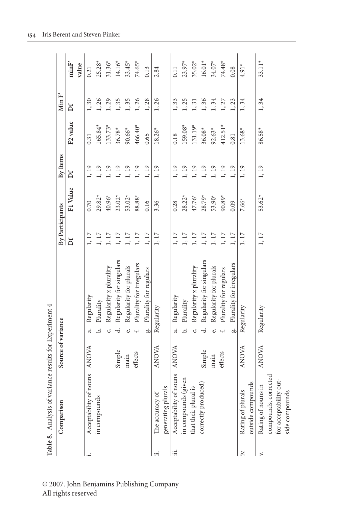|     | Table 8. Analysis of variance results for Experiment 4 |                    |                               |                 |          |          |                      |         |          |
|-----|--------------------------------------------------------|--------------------|-------------------------------|-----------------|----------|----------|----------------------|---------|----------|
|     | Comparison                                             | Source of variance |                               | By Participants |          | By Items |                      | Min $F$ |          |
|     |                                                        |                    |                               | Ďf              | F1 Value | Df       | F <sub>2</sub> value | Ďf      | minF     |
|     |                                                        |                    |                               |                 |          |          |                      |         | value    |
|     | Acceptability of nouns                                 | <b>ANOVA</b>       | Regularity<br>ನ               | 1, 17           | 0.70     | 1, 19    | 0.31                 | 1, 30   | 0.21     |
|     | in compounds                                           |                    | Plurality<br>.<br>ف           | 1,17            | $29.82*$ | 1, 19    | 165.84*              | 1,26    | $25.28*$ |
|     |                                                        |                    | Regularity x plurality<br>Ċ.  | $1,17$          | 40.96*   | 1,19     | $133.73*$            | 1,29    | $31.36*$ |
|     |                                                        | Simple             | Regularity for singulars<br>ಕ | $1,17$          | $23.02*$ | 1, 19    | $36.78*$             | 1,35    | $14.16*$ |
|     |                                                        | main               | Regularity for plurals<br>نه  | $1,17$          | 53.02*   | 1, 19    | $90.66*$             | 1,35    | $33.45*$ |
|     |                                                        | effects            | Plurality for irregulars      | $1,17$          | 88.88*   | 1, 19    | 466.40*              | 1, 26   | 74.65*   |
|     |                                                        |                    | Plurality for regulars<br>å   | 1,17            | 0.16     | 1, 19    | 0.65                 | 1,28    | 0.13     |
|     | The accuracy of                                        | <b>ANOVA</b>       | Regularity                    | 1,17            | 3.36     | 1, 19    | $18.26*$             | 1,26    | 2.84     |
|     | generating plurals                                     |                    |                               |                 |          |          |                      |         |          |
| ιΞ  | Acceptability of nouns                                 | <b>ANOVA</b>       | Regularity<br>ಹ               | 1, 17           | 0.28     | 1, 19    | 0.18                 | 1, 33   | 0.11     |
|     | in compounds (given                                    |                    | Plurality<br>.<br>ض           | $1,17$          | $28.22*$ | 1, 19    | 159.08*              | 1,25    | $23.97*$ |
|     | that their plural is                                   |                    | Regularity x plurality<br>Ċ.  | $1,17$          | 47.76*   | 1,19     | $131.19*$            | 1, 31   | $35.02*$ |
|     | correctly produced)                                    | Simple             | Regularity for singulars<br>ಕ | $1,17$          | $28.79*$ | 1, 19    | 36.08*               | 1,36    | $16.01*$ |
|     |                                                        | main               | Regularity for plurals<br>نه  | $1,17$          | 53.90*   | 1, 19    | $92.63*$             | 1,34    | $34.07*$ |
|     |                                                        | effects            | Plurality for regulars        | $1,17$          | $90.89*$ | 1, 19    | $412.51*$            | 1, 27   | 74.48*   |
|     |                                                        |                    | Plurality for irregulars<br>å | $1,17$          | 0.09     | 1,19     | 0.81                 | 1, 23   | 0.08     |
| iv. | Rating of plurals                                      | <b>ANOVA</b>       | Regularity                    | 1,17            | $7.66*$  | 1, 19    | $13.68*$             | 1,34    | $4.91*$  |
|     | outside compounds                                      |                    |                               |                 |          |          |                      |         |          |
| ⊧   | Rating of nouns in                                     | <b>ANOVA</b>       | Regularity                    | 1, 17           | $53.62*$ | 1, 19    | 86.58*               | 1,34    | $33.11*$ |
|     | compounds, corrected                                   |                    |                               |                 |          |          |                      |         |          |
|     | Δ<br>for acceptability out                             |                    |                               |                 |          |          |                      |         |          |
|     | side compounds                                         |                    |                               |                 |          |          |                      |         |          |

© 2007. John Benjamins Publishing Company All rights reserved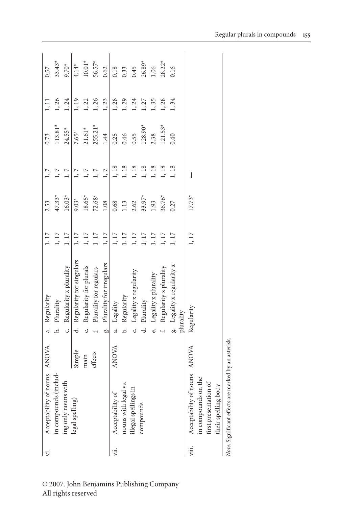| ÿ.   | Acceptability of nouns ANOVA                        |              |        | Regularity                 | $1,17$   | 2.53     |         | 0.73      | 1, 11 | 0.57     |
|------|-----------------------------------------------------|--------------|--------|----------------------------|----------|----------|---------|-----------|-------|----------|
|      | in compounds (includ-                               |              |        | b. Plurality               | $1,17$   | $47.33*$ | 1, 7    | $113.81*$ | 1, 26 | $33.43*$ |
|      | ing only nouns with                                 |              | ن.     | Regularity x plurality     | $1,17$   | $16.03*$ | 1, 7    | $24.55*$  | 1,24  | $9.70*$  |
|      | legal spelling)                                     | Simple       | ಕ      | Regularity for singulars   | $1,17$   | $9.03*$  | 1, 7    | $7.65*$   | 1, 19 | $4.14*$  |
|      |                                                     | main         |        | Regularity for plurals     | $1,\,17$ | $18.65*$ | $1,\,7$ | $21.61*$  | 1, 22 | $10.01*$ |
|      |                                                     | effects      |        | Plurality for regulars     | $1,\,17$ | $72.68*$ | $1,7$   | $255.21*$ | 1,26  | $56.57*$ |
|      |                                                     |              | ä      | Plurality for irregulars   | $1,17$   | 1.08     | $1, 7$  | 1.44      | 1, 23 | 0.62     |
| ÿij. | Acceptability of                                    | <b>ANOVA</b> | .<br>ಸ | Legality                   | $1,\,17$ | 0.68     | $1,18$  | 0.25      | 1,28  | 0.18     |
|      | nouns with legal vs.                                |              |        | Regularity                 | $1,\,17$ | 1.13     | $1,18$  | 0.46      | 1,29  | 0.33     |
|      | illegal spellings in                                |              |        | Legality x regularity      | $1,\,17$ | 2.62     | $1,18$  | 0.55      | 1,24  | 0.45     |
|      | compounds                                           |              |        | Plurality                  | $1,\,17$ | $33.97*$ | 1, 18   | 128.90*   | 1, 27 | $26.89*$ |
|      |                                                     |              |        | Legality x plurality       | $1,\,17$ | 1.93     | 1, 18   | 2.38      | 1, 35 | 1.06     |
|      |                                                     |              |        | Regularity x plurality     | $1,\,17$ | 36.76*   | 1, 18   | $121.53*$ | 1, 28 | $28.22*$ |
|      |                                                     |              |        | g. Legality x regularity x | 1, 17    | 0.27     | 1, 18   | 0.40      | 1,34  | 0.16     |
|      |                                                     |              |        | plurality                  |          |          |         |           |       |          |
| ijі. | Acceptability of nouns ANOVA                        |              |        | Regularity                 | 1, 17    | $17.73*$ |         |           |       |          |
|      | in compounds on the                                 |              |        |                            |          |          |         |           |       |          |
|      | first presentation of                               |              |        |                            |          |          |         |           |       |          |
|      | their spelling body                                 |              |        |                            |          |          |         |           |       |          |
|      | Note. Significant effects are marked by an asterisk |              |        |                            |          |          |         |           |       |          |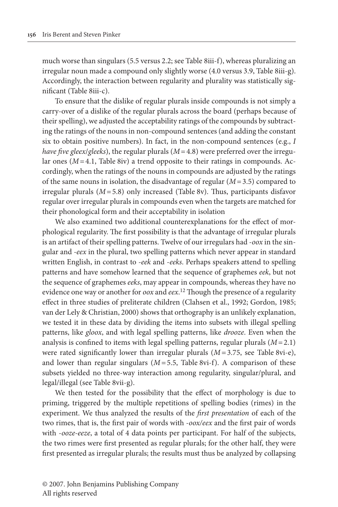much worse than singulars (5.5 versus 2.2; see Table 8iii-f), whereas pluralizing an irregular noun made a compound only slightly worse (4.0 versus 3.9, Table 8iii-g). Accordingly, the interaction between regularity and plurality was statistically significant (Table 8iii-c).

To ensure that the dislike of regular plurals inside compounds is not simply a carry-over of a dislike of the regular plurals across the board (perhaps because of their spelling), we adjusted the acceptability ratings of the compounds by subtracting the ratings of the nouns in non-compound sentences (and adding the constant six to obtain positive numbers). In fact, in the non-compound sentences (e.g., *I have five gleex*/*gleeks*), the regular plurals (*M* = 4.8) were preferred over the irregular ones (*M* = 4.1, Table 8iv) a trend opposite to their ratings in compounds. Accordingly, when the ratings of the nouns in compounds are adjusted by the ratings of the same nouns in isolation, the disadvantage of regular (*M* = 3.5) compared to irregular plurals (*M* = 5.8) only increased (Table 8v). Thus, participants disfavor regular over irregular plurals in compounds even when the targets are matched for their phonological form and their acceptability in isolation

We also examined two additional counterexplanations for the effect of morphological regularity. The first possibility is that the advantage of irregular plurals is an artifact of their spelling patterns. Twelve of our irregulars had -*oox* in the singular and *-eex* in the plural, two spelling patterns which never appear in standard written English, in contrast to *-eek* and -*eeks*. Perhaps speakers attend to spelling patterns and have somehow learned that the sequence of graphemes *eek*, but not the sequence of graphemes *eeks*, may appear in compounds, whereas they have no evidence one way or another for *oox* and *eex*. 12 Though the presence of a regularity effect in three studies of preliterate children (Clahsen et al., 1992; Gordon, 1985; van der Lely & Christian, 2000) shows that orthography is an unlikely explanation, we tested it in these data by dividing the items into subsets with illegal spelling patterns, like *gloox*, and with legal spelling patterns, like *drooze*. Even when the analysis is confined to items with legal spelling patterns, regular plurals  $(M=2.1)$ were rated significantly lower than irregular plurals (*M =* 3.75, see Table 8vi-e), and lower than regular singulars (*M =* 5.5, Table 8vi-f). A comparison of these subsets yielded no three-way interaction among regularity, singular/plural, and legal/illegal (see Table 8vii-g).

We then tested for the possibility that the effect of morphology is due to priming, triggered by the multiple repetitions of spelling bodies (rimes) in the experiment. We thus analyzed the results of the *first presentation* of each of the two rimes, that is, the first pair of words with -*oox/eex* and the first pair of words with -*ooze-eeze*, a total of 4 data points per participant. For half of the subjects, the two rimes were first presented as regular plurals; for the other half, they were first presented as irregular plurals; the results must thus be analyzed by collapsing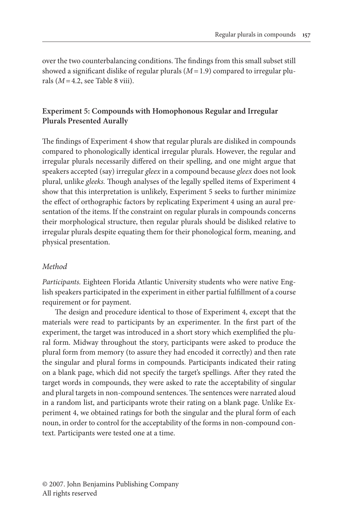over the two counterbalancing conditions. The findings from this small subset still showed a significant dislike of regular plurals (*M =* 1.9) compared to irregular plurals (*M =* 4.2, see Table 8 viii).

## **Experiment 5: Compounds with Homophonous Regular and Irregular Plurals Presented Aurally**

The findings of Experiment 4 show that regular plurals are disliked in compounds compared to phonologically identical irregular plurals. However, the regular and irregular plurals necessarily differed on their spelling, and one might argue that speakers accepted (say) irregular *gleex* in a compound because *gleex* does not look plural, unlike *gleeks.* Though analyses of the legally spelled items of Experiment 4 show that this interpretation is unlikely, Experiment 5 seeks to further minimize the effect of orthographic factors by replicating Experiment 4 using an aural presentation of the items. If the constraint on regular plurals in compounds concerns their morphological structure, then regular plurals should be disliked relative to irregular plurals despite equating them for their phonological form, meaning, and physical presentation.

## *Method*

*Participants.* Eighteen Florida Atlantic University students who were native English speakers participated in the experiment in either partial fulfillment of a course requirement or for payment.

The design and procedure identical to those of Experiment 4, except that the materials were read to participants by an experimenter. In the first part of the experiment, the target was introduced in a short story which exemplified the plural form. Midway throughout the story, participants were asked to produce the plural form from memory (to assure they had encoded it correctly) and then rate the singular and plural forms in compounds. Participants indicated their rating on a blank page, which did not specify the target's spellings. After they rated the target words in compounds, they were asked to rate the acceptability of singular and plural targets in non-compound sentences. The sentences were narrated aloud in a random list, and participants wrote their rating on a blank page. Unlike Experiment 4, we obtained ratings for both the singular and the plural form of each noun, in order to control for the acceptability of the forms in non-compound context. Participants were tested one at a time.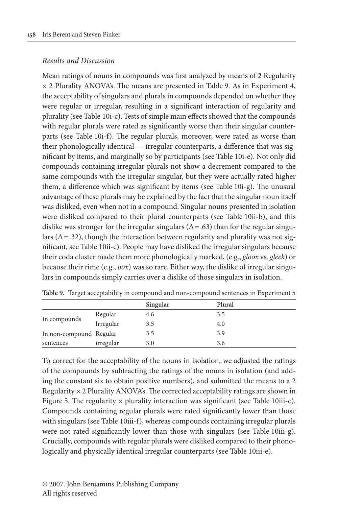## *Results and Discussion*

Mean ratings of nouns in compounds was first analyzed by means of 2 Regularity  $\times$  2 Plurality ANOVA's. The means are presented in Table 9. As in Experiment 4, the acceptability of singulars and plurals in compounds depended on whether they were regular or irregular, resulting in a significant interaction of regularity and plurality (see Table 10i-c). Tests of simple main effects showed that the compounds with regular plurals were rated as significantly worse than their singular counterparts (see Table 10i-f). The regular plurals, moreover, were rated as worse than their phonologically identical — irregular counterparts, a difference that was significant by items, and marginally so by participants (see Table 10i-e). Not only did compounds containing irregular plurals not show a decrement compared to the same compounds with the irregular singular, but they were actually rated higher them, a difference which was significant by items (see Table 10i-g). The unusual advantage of these plurals may be explained by the fact that the singular noun itself was disliked, even when not in a compound. Singular nouns presented in isolation were disliked compared to their plural counterparts (see Table 10ii-b), and this dislike was stronger for the irregular singulars ( $\Delta = .63$ ) than for the regular singulars ( $\Delta$  = .32), though the interaction between regularity and plurality was not significant, see Table 10ii-c). People may have disliked the irregular singulars because their coda cluster made them more phonologically marked, (e.g., *gloox* vs. *gleek*) or because their rime (e.g., *oox*) was so rare. Either way, the dislike of irregular singulars in compounds simply carries over a dislike of those singulars in isolation.

|                         |           | Singular | Plural |
|-------------------------|-----------|----------|--------|
|                         | Regular   | 4.6      | 3.5    |
| In compounds            | Irregular | 3.5      | 4.0    |
| In non-compound Regular |           | 3.5      | 3.9    |
| sentences               | irregular | 3.0      | 3.6    |

**Table 9.** Target acceptability in compound and non-compound sentences in Experiment 5

To correct for the acceptability of the nouns in isolation, we adjusted the ratings of the compounds by subtracting the ratings of the nouns in isolation (and adding the constant six to obtain positive numbers), and submitted the means to a 2 Regularity  $\times$  2 Plurality ANOVA's. The corrected acceptability ratings are shown in Figure 5. The regularity  $\times$  plurality interaction was significant (see Table 10iii-c). Compounds containing regular plurals were rated significantly lower than those with singulars (see Table 10iii-f), whereas compounds containing irregular plurals were not rated significantly lower than those with singulars (see Table 10iii-g). Crucially, compounds with regular plurals were disliked compared to their phonologically and physically identical irregular counterparts (see Table 10iii-e).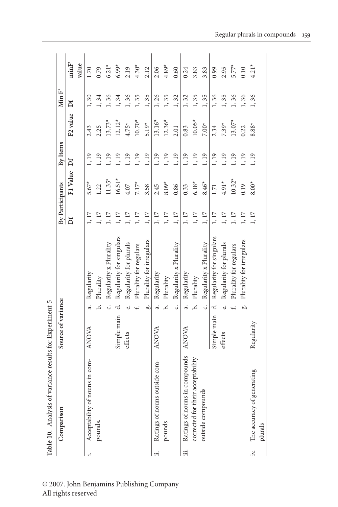|     | Table 10. Analysis of variance results for Experiment 5 |                    |            |                          |          |                 |          |                      |       |         |
|-----|---------------------------------------------------------|--------------------|------------|--------------------------|----------|-----------------|----------|----------------------|-------|---------|
|     | Comparison                                              | Source of variance |            |                          |          | By Participants | By Items |                      | Min F |         |
|     |                                                         |                    |            |                          | Ďf       | F1 Value        | ď        | F <sub>2</sub> value | Ďf    | minF    |
|     |                                                         |                    |            |                          |          |                 |          |                      |       | value   |
|     | Acceptability of nouns in com-                          | ANOVA              | ಹ          | Regularity               | 1, 17    | $5.67*$         | 1, 19    | 2.43                 | 1, 30 | 1.70    |
|     | pounds.                                                 |                    | .<br>م     | Plurality                | $1,17$   | 1.22            | 1, 19    | 2.25                 | 1,34  | 0.79    |
|     |                                                         |                    | ن.         | Regularity x Plurality   | $1,17$   | $11.35*$        | 1, 19    | $13.73*$             | 1, 36 | $6.21*$ |
|     |                                                         | Simple main        | d          | Regularity for singulars | 1,17     | $16.51*$        | 1, 19    | $12.12*$             | 1,34  | $6.99*$ |
|     |                                                         | effects            | نه         | Regularity for plurals   | $1,\,17$ | 4.07            | 1, 19    | $4.75*$              | 1, 36 | 2.19    |
|     |                                                         |                    |            | Plurality for regulars   | $1,17$   | $7.17*$         | 1, 19    | $10.70*$             | 1, 35 | $4.30*$ |
|     |                                                         |                    | ä          | Plurality for irregulars | $1,17$   | 3.58            | 1, 19    | $5.19*$              | 1, 35 | 2.12    |
| ∷≓  | Ratings of nouns outside com-                           | <b>ANOVA</b>       | ಹ          | Regularity               | $1,17$   | 2.45            | 1, 19    | $13.16*$             | 1,26  | 2.06    |
|     | pounds                                                  |                    | .<br>ف     | Plurality                | $1,17$   | $8.09*$         | 1, 19    | $12.36*$             | 1, 35 | $4.89*$ |
|     |                                                         |                    | ن          | Regularity x Plurality   | $1,17$   | 0.86            | 1,19     | 2.01                 | 1, 32 | 0.60    |
| :≡i | Ratings of nouns in compounds                           | ANOVA              | $\ddot{a}$ | Regularity               | 1,17     | 0.33            | 1, 19    | 0.83                 | 1, 32 | 0.24    |
|     | corrected for their acceptability                       |                    | .<br>م     | Plurality                | $1,\,17$ | $6.18*$         | 1, 19    | $10.05*$             | 1, 35 | 3.83    |
|     | outside compounds                                       |                    | J          | Regularity x Plurality   | $1,17$   | 8.46*           | 1,19     | $7.00*$              | 1,35  | 3.83    |
|     |                                                         | Simple main        | ಕ          | Regularity for singulars | 1,17     | 1.71            | 1, 19    | 2.34                 | 1, 36 | 0.99    |
|     |                                                         | effects            | نه         | Regularity for plurals   | $1,17$   | $4.91*$         | 1, 19    | $7.39*$              | 1, 35 | 2.95    |
|     |                                                         |                    | f.         | Plurality for regulars   | $1,17$   | $10.32*$        | 1, 19    | $13.07*$             | 1, 36 | $5.77*$ |
|     |                                                         |                    | ä          | Plurality for irregulars | 1, 17    | 0.19            | 1,19     | 0.22                 | 1,36  | 0.10    |
| iv. | The accuracy of generating<br>plurals                   | Regularity         |            |                          | 1,17     | $8.00*$         | 1, 19    | $8.88*$              | 1,36  | $4.21*$ |

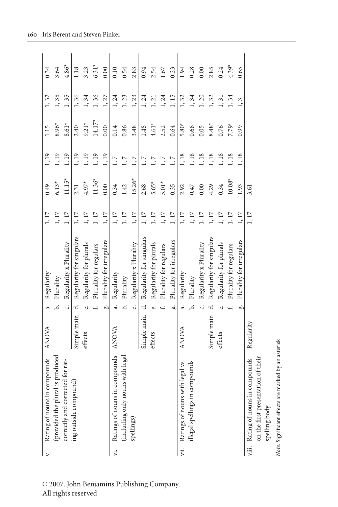| $\triangleright$ | Rating of nouns in compounds                        | <b>ANOVA</b> | 4         | Regularity               | $1,17$   | 0.49     | 1,19    | 1.15     | 1, 32 | 0.34    |
|------------------|-----------------------------------------------------|--------------|-----------|--------------------------|----------|----------|---------|----------|-------|---------|
|                  | (provided the plural is produced                    |              | .<br>ف    | Plurality                | $1,17$   | $6.13*$  | 1, 19   | $8.96*$  | 1, 35 | 3.64    |
|                  | correctly and corrected for rat-                    |              | ن.        | Regularity x Plurality   | $1,17$   | $11.15*$ | 1, 19   | $8.61*$  | 1,35  | $4.86*$ |
|                  | ing outside compound)                               | Simple main  | ಕ         | Regularity for singulars | $1,17$   | 2.31     | 1, 19   | 2.40     | 1, 36 | 1.18    |
|                  |                                                     | effects      | نه        | Regularity for plurals   | $1,17$   | $4.97*$  | 1, 19   | $9.21*$  | 1,34  | 3.23    |
|                  |                                                     |              |           | Plurality for regulars   | $1,\,17$ | $11.36*$ | 1, 19   | $14.17*$ | 1, 36 | $6.31*$ |
|                  |                                                     |              | ä         | Plurality for irregulars | $1,17$   | 0.00     | 1, 19   | 0.00     | 1, 27 | 0.00    |
| ι.               | Ratings of nouns in compounds                       | ANOVA        | $\vec{a}$ | Regularity               | $1,17$   | 0.34     | $1,\,7$ | 0.14     | 1,24  | 0.10    |
|                  | (including only nouns with legal                    |              | خ.        | Plurality                | $1,17$   | 1.42     | $1, 7$  | 0.86     | 1, 23 | 0.54    |
|                  | spellings)                                          |              | Ċ,        | Regularity x Plurality   | $1,17$   | $15.26*$ | $1, 7$  | 3.48     | 1, 23 | 2.83    |
|                  |                                                     | Simple main  | ಕ         | Regularity for singulars | $1,17$   | 2.68     | $1, 7$  | 1.45     | 1,24  | 0.94    |
|                  |                                                     | effects      | ئە        | Regularity for plurals   | $1,\,17$ | $5.65*$  | $1, 7$  | $4.61*$  | 1, 21 | 2.54    |
|                  |                                                     |              |           | Plurality for regulars   | $1,\,17$ | $5.01*$  | $1, 7$  | 2.52     | 1, 24 | $1.67$  |
|                  |                                                     |              | ä         | Plurality for irregulars | $1,17$   | 0.35     | $1, 7$  | 0.64     | 1, 15 | 0.23    |
|                  | vii. Ratings of nouns with legal vs.                | ANOVA        | 4         | Regularity               | 1,17     | 2.92     | 1, 18   | $5.80*$  | 1, 32 | 1.94    |
|                  | illegal spellings in compounds                      |              | خ         | Plurality                | $1,17$   | 0.47     | $1,18$  | 0.68     | 1,34  | 0.28    |
|                  |                                                     |              | ن         | Regularity x Plurality   | $1,17$   | 0.00     | 1, 18   | 0.05     | 1, 20 | 0.00    |
|                  |                                                     | Simple main  | d         | Regularity for singulars | 1,17     | 4.29     | 1, 18   | $8.48*$  | 1, 32 | 2.85    |
|                  |                                                     | effects      | نه        | Regularity for plurals   | $1,17$   | 0.34     | 1, 18   | 0.76     | 1, 31 | 0.24    |
|                  |                                                     |              |           | Plurality for regulars   | $1,17$   | $10.08*$ | 1,18    | $7.79*$  | 1, 34 | $4.39*$ |
|                  |                                                     |              | ä         | Plurality for irregulars | 1, 17    | 1.93     | 1,18    | 0.99     | 1, 31 | 0.65    |
|                  | viii. Rating of nouns in compounds                  | Regularity   |           |                          | 1, 17    | 3.61     |         |          |       |         |
|                  | on of their<br>on the first presentati              |              |           |                          |          |          |         |          |       |         |
|                  | spelling body                                       |              |           |                          |          |          |         |          |       |         |
|                  | Note. Significant effects are marked by an asterisk |              |           |                          |          |          |         |          |       |         |

© 2007. John Benjamins Publishing Company All rights reserved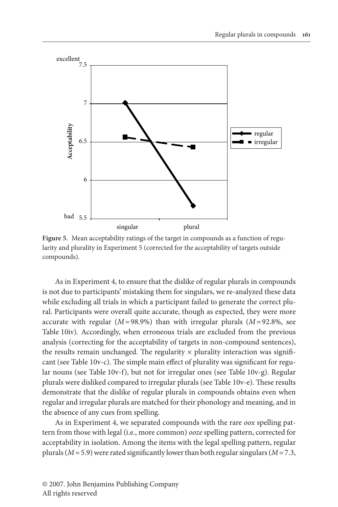

**Figure 5.** Mean acceptability ratings of the target in compounds as a function of regularity and plurality in Experiment 5 (corrected for the acceptability of targets outside compounds).

As in Experiment 4, to ensure that the dislike of regular plurals in compounds is not due to participants' mistaking them for singulars, we re-analyzed these data while excluding all trials in which a participant failed to generate the correct plural. Participants were overall quite accurate, though as expected, they were more accurate with regular  $(M=98.9\%)$  than with irregular plurals  $(M=92.8\%)$ , see Table 10iv). Accordingly, when erroneous trials are excluded from the previous analysis (correcting for the acceptability of targets in non-compound sentences), the results remain unchanged. The regularity  $\times$  plurality interaction was significant (see Table 10v-c). The simple main effect of plurality was significant for regular nouns (see Table 10v-f), but not for irregular ones (see Table 10v-g). Regular plurals were disliked compared to irregular plurals (see Table 10v-e). These results demonstrate that the dislike of regular plurals in compounds obtains even when regular and irregular plurals are matched for their phonology and meaning, and in the absence of any cues from spelling.

As in Experiment 4, we separated compounds with the rare *oox* spelling pattern from those with legal (i.e., more common) *ooze* spelling pattern, corrected for acceptability in isolation. Among the items with the legal spelling pattern, regular plurals (*M* = 5.9) were rated significantly lower than both regular singulars (*M* = 7.3,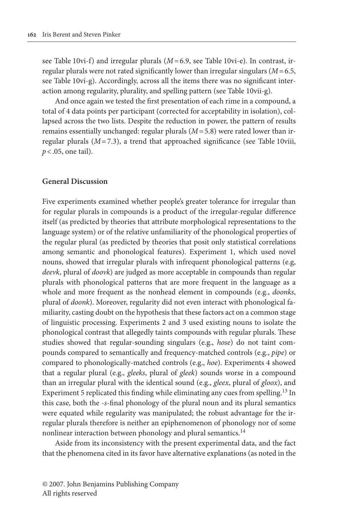see Table 10vi-f) and irregular plurals ( $M = 6.9$ , see Table 10vi-e). In contrast, irregular plurals were not rated significantly lower than irregular singulars (*M* = 6.5, see Table 10vi-g). Accordingly, across all the items there was no significant interaction among regularity, plurality, and spelling pattern (see Table 10vii-g).

And once again we tested the first presentation of each rime in a compound, a total of 4 data points per participant (corrected for acceptability in isolation), collapsed across the two lists. Despite the reduction in power, the pattern of results remains essentially unchanged: regular plurals (*M* = 5.8) were rated lower than irregular plurals  $(M=7.3)$ , a trend that approached significance (see Table 10viii, *p* < .05, one tail).

#### **General Discussion**

Five experiments examined whether people's greater tolerance for irregular than for regular plurals in compounds is a product of the irregular-regular difference itself (as predicted by theories that attribute morphological representations to the language system) or of the relative unfamiliarity of the phonological properties of the regular plural (as predicted by theories that posit only statistical correlations among semantic and phonological features). Experiment 1, which used novel nouns, showed that irregular plurals with infrequent phonological patterns (e.g, *deevk*, plural of *doovk*) are judged as more acceptable in compounds than regular plurals with phonological patterns that are more frequent in the language as a whole and more frequent as the nonhead element in compounds (e.g., *doonks*, plural of *doonk*). Moreover, regularity did not even interact with phonological familiarity, casting doubt on the hypothesis that these factors act on a common stage of linguistic processing. Experiments 2 and 3 used existing nouns to isolate the phonological contrast that allegedly taints compounds with regular plurals. These studies showed that regular-sounding singulars (e.g., *hose*) do not taint compounds compared to semantically and frequency-matched controls (e.g., *pipe*) or compared to phonologically-matched controls (e.g., *hoe*). Experiments 4 showed that a regular plural (e.g., *gleeks*, plural of *gleek*) sounds worse in a compound than an irregular plural with the identical sound (e.g., *gleex*, plural of *gloox*), and Experiment 5 replicated this finding while eliminating any cues from spelling.<sup>13</sup> In this case, both the -*s*-final phonology of the plural noun and its plural semantics were equated while regularity was manipulated; the robust advantage for the irregular plurals therefore is neither an epiphenomenon of phonology nor of some nonlinear interaction between phonology and plural semantics.<sup>14</sup>

Aside from its inconsistency with the present experimental data, and the fact that the phenomena cited in its favor have alternative explanations (as noted in the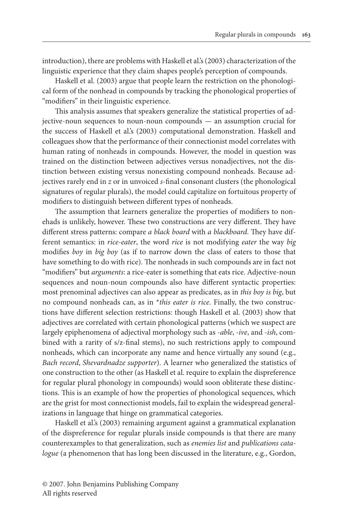introduction), there are problems with Haskell et al.'s (2003) characterization of the linguistic experience that they claim shapes people's perception of compounds.

Haskell et al. (2003) argue that people learn the restriction on the phonological form of the nonhead in compounds by tracking the phonological properties of "modifiers" in their linguistic experience.

This analysis assumes that speakers generalize the statistical properties of adjective-noun sequences to noun-noun compounds — an assumption crucial for the success of Haskell et al.'s (2003) computational demonstration. Haskell and colleagues show that the performance of their connectionist model correlates with human rating of nonheads in compounds. However, the model in question was trained on the distinction between adjectives versus nonadjectives, not the distinction between existing versus nonexisting compound nonheads. Because adjectives rarely end in *z* or in unvoiced *s*-final consonant clusters (the phonological signatures of regular plurals), the model could capitalize on fortuitous property of modifiers to distinguish between different types of nonheads.

The assumption that learners generalize the properties of modifiers to nonehads is unlikely, however. These two constructions are very different. They have different stress patterns: compare *a black board* with *a blackboard*. They have different semantics: in *rice-eater*, the word *rice* is not modifying *eater* the way *big*  modifies *boy* in *big boy* (as if to narrow down the class of eaters to those that have something to do with rice). The nonheads in such compounds are in fact not "modifiers" but *arguments*: a rice-eater is something that eats rice. Adjective-noun sequences and noun-noun compounds also have different syntactic properties: most prenominal adjectives can also appear as predicates, as in *this boy is big*, but no compound nonheads can, as in \**this eater is rice*. Finally, the two constructions have different selection restrictions: though Haskell et al. (2003) show that adjectives are correlated with certain phonological patterns (which we suspect are largely epiphenomena of adjectival morphology such as -*able*, *-ive*, and *-ish*, combined with a rarity of s/z-final stems), no such restrictions apply to compound nonheads, which can incorporate any name and hence virtually any sound (e.g., *Bach record*, *Shevardnadze supporter*). A learner who generalized the statistics of one construction to the other (as Haskell et al. require to explain the dispreference for regular plural phonology in compounds) would soon obliterate these distinctions. This is an example of how the properties of phonological sequences, which are the grist for most connectionist models, fail to explain the widespread generalizations in language that hinge on grammatical categories.

Haskell et al.'s (2003) remaining argument against a grammatical explanation of the dispreference for regular plurals inside compounds is that there are many counterexamples to that generalization, such as *enemies list* and *publications catalogue* (a phenomenon that has long been discussed in the literature, e.g., Gordon,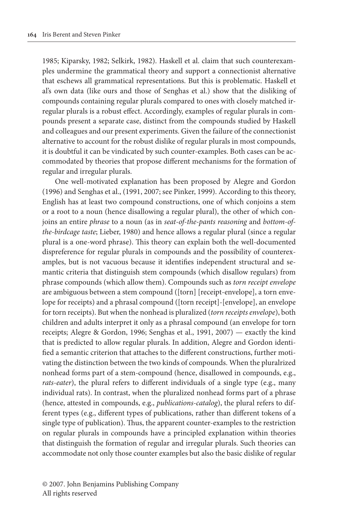1985; Kiparsky, 1982; Selkirk, 1982). Haskell et al. claim that such counterexamples undermine the grammatical theory and support a connectionist alternative that eschews all grammatical representations. But this is problematic. Haskell et al's own data (like ours and those of Senghas et al.) show that the disliking of compounds containing regular plurals compared to ones with closely matched irregular plurals is a robust effect. Accordingly, examples of regular plurals in compounds present a separate case, distinct from the compounds studied by Haskell and colleagues and our present experiments. Given the failure of the connectionist alternative to account for the robust dislike of regular plurals in most compounds, it is doubtful it can be vindicated by such counter-examples. Both cases can be accommodated by theories that propose different mechanisms for the formation of regular and irregular plurals.

One well-motivated explanation has been proposed by Alegre and Gordon (1996) and Senghas et al., (1991, 2007; see Pinker, 1999). According to this theory, English has at least two compound constructions, one of which conjoins a stem or a root to a noun (hence disallowing a regular plural), the other of which conjoins an entire *phrase* to a noun (as in *seat-of-the-pants reasoning* and *bottom-ofthe-birdcage taste*; Lieber, 1980) and hence allows a regular plural (since a regular plural is a one-word phrase). This theory can explain both the well-documented dispreference for regular plurals in compounds and the possibility of counterexamples, but is not vacuous because it identifies independent structural and semantic criteria that distinguish stem compounds (which disallow regulars) from phrase compounds (which allow them). Compounds such as *torn receipt envelope*  are ambiguous between a stem compound ([torn] [receipt-envelope], a torn envelope for receipts) and a phrasal compound ([torn receipt]-[envelope], an envelope for torn receipts). But when the nonhead is pluralized (*torn receipts envelope*), both children and adults interpret it only as a phrasal compound (an envelope for torn receipts; Alegre & Gordon, 1996; Senghas et al., 1991, 2007) — exactly the kind that is predicted to allow regular plurals. In addition, Alegre and Gordon identified a semantic criterion that attaches to the different constructions, further motivating the distinction between the two kinds of compounds. When the pluralrized nonhead forms part of a stem-compound (hence, disallowed in compounds, e.g., *rats-eater*), the plural refers to different individuals of a single type (e.g., many individual rats). In contrast, when the pluralized nonhead forms part of a phrase (hence, attested in compounds, e.g., *publications-catalog*), the plural refers to different types (e.g., different types of publications, rather than different tokens of a single type of publication). Thus, the apparent counter-examples to the restriction on regular plurals in compounds have a principled explanation within theories that distinguish the formation of regular and irregular plurals. Such theories can accommodate not only those counter examples but also the basic dislike of regular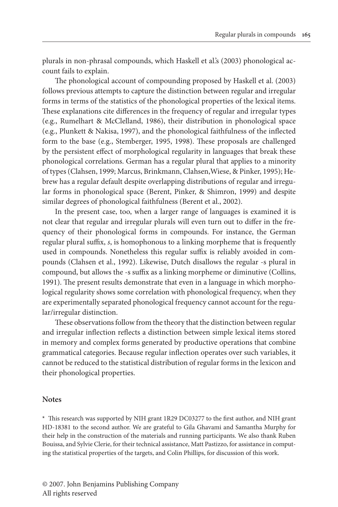plurals in non-phrasal compounds, which Haskell et al.'s (2003) phonological account fails to explain.

The phonological account of compounding proposed by Haskell et al. (2003) follows previous attempts to capture the distinction between regular and irregular forms in terms of the statistics of the phonological properties of the lexical items. These explanations cite differences in the frequency of regular and irregular types (e.g., Rumelhart & McClelland, 1986), their distribution in phonological space (e.g., Plunkett & Nakisa, 1997), and the phonological faithfulness of the inflected form to the base (e.g., Stemberger, 1995, 1998). These proposals are challenged by the persistent effect of morphological regularity in languages that break these phonological correlations. German has a regular plural that applies to a minority of types (Clahsen, 1999; Marcus, Brinkmann, Clahsen,Wiese, & Pinker, 1995); Hebrew has a regular default despite overlapping distributions of regular and irregular forms in phonological space (Berent, Pinker, & Shimron, 1999) and despite similar degrees of phonological faithfulness (Berent et al., 2002).

In the present case, too, when a larger range of languages is examined it is not clear that regular and irregular plurals will even turn out to differ in the frequency of their phonological forms in compounds. For instance, the German regular plural suffix, *s*, is homophonous to a linking morpheme that is frequently used in compounds. Nonetheless this regular suffix is reliably avoided in compounds (Clahsen et al., 1992). Likewise, Dutch disallows the regular -s plural in compound, but allows the -s suffix as a linking morpheme or diminutive (Collins, 1991). The present results demonstrate that even in a language in which morphological regularity shows some correlation with phonological frequency, when they are experimentally separated phonological frequency cannot account for the regular/irregular distinction.

These observations follow from the theory that the distinction between regular and irregular inflection reflects a distinction between simple lexical items stored in memory and complex forms generated by productive operations that combine grammatical categories. Because regular inflection operates over such variables, it cannot be reduced to the statistical distribution of regular forms in the lexicon and their phonological properties.

#### **Notes**

**\*** This research was supported by NIH grant 1R29 DC03277 to the first author, and NIH grant HD-18381 to the second author. We are grateful to Gila Ghavami and Samantha Murphy for their help in the construction of the materials and running participants. We also thank Ruben Bouissa, and Sylvie Clerie, for their technical assistance, Matt Pastizzo, for assistance in computing the statistical properties of the targets, and Colin Phillips, for discussion of this work.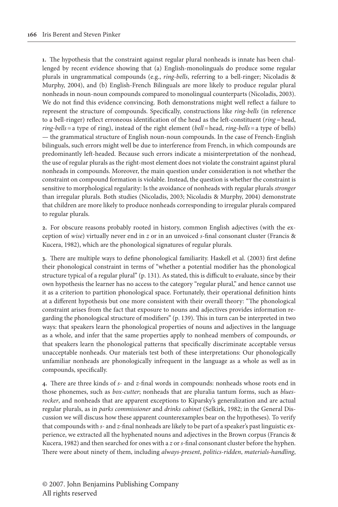**.** The hypothesis that the constraint against regular plural nonheads is innate has been challenged by recent evidence showing that (a) English-monolinguals do produce some regular plurals in ungrammatical compounds (e.g., *ring-bells*, referring to a bell-ringer; Nicoladis & Murphy, 2004), and (b) English-French Bilinguals are more likely to produce regular plural nonheads in noun-noun compounds compared to monolingual counterparts (Nicoladis, 2003). We do not find this evidence convincing. Both demonstrations might well reflect a failure to represent the structure of compounds. Specifically, constructions like *ring-bells* (in reference to a bell-ringer) reflect erroneous identification of the head as the left-constituent (*ring =* head, *ring-bells =* a type of ring), instead of the right element (*bell =* head, *ring-bells =* a type of bells) — the grammatical structure of English noun-noun compounds. In the case of French-English bilinguals, such errors might well be due to interference from French, in which compounds are predominantly left-headed. Because such errors indicate a misinterpretation of the nonhead, the use of regular plurals as the right-most element does not violate the constraint against plural nonheads in compounds. Moreover, the main question under consideration is not whether the constraint on compound formation is violable. Instead, the question is whether the constraint is sensitive to morphological regularity: Is the avoidance of nonheads with regular plurals *stronger* than irregular plurals. Both studies (Nicoladis, 2003; Nicoladis & Murphy, 2004) demonstrate that children are more likely to produce nonheads corresponding to irregular plurals compared to regular plurals.

**2.** For obscure reasons probably rooted in history, common English adjectives (with the exception of *wise*) virtually never end in *z* or in an unvoiced *s*-final consonant cluster (Francis & Kucera, 1982), which are the phonological signatures of regular plurals.

**3.** There are multiple ways to define phonological familiarity. Haskell et al. (2003) first define their phonological constraint in terms of "whether a potential modifier has the phonological structure typical of a regular plural" (p. 131). As stated, this is difficult to evaluate, since by their own hypothesis the learner has no access to the category "regular plural," and hence cannot use it as a criterion to partition phonological space. Fortunately, their operational definition hints at a different hypothesis but one more consistent with their overall theory: "The phonological constraint arises from the fact that exposure to nouns and adjectives provides information regarding the phonological structure of modifiers" (p. 139). This in turn can be interpreted in two ways: that speakers learn the phonological properties of nouns and adjectives in the language as a whole, and infer that the same properties apply to nonhead members of compounds, *or*  that speakers learn the phonological patterns that specifically discriminate acceptable versus unacceptable nonheads. Our materials test both of these interpretations: Our phonologically unfamiliar nonheads are phonologically infrequent in the language as a whole as well as in compounds, specifically.

**4.** There are three kinds of *s-* and *z*-final words in compounds: nonheads whose roots end in those phonemes, such as *box-cutter*; nonheads that are pluralia tantum forms, such as *bluesrocker*, and nonheads that are apparent exceptions to Kiparsky's generalization and are actual regular plurals, as in *parks commissioner* and *drinks cabinet* (Selkirk, 1982; in the General Discussion we will discuss how these apparent counterexamples bear on the hypotheses). To verify that compounds with *s-* and *z-*final nonheads are likely to be part of a speaker's past linguistic experience, we extracted all the hyphenated nouns and adjectives in the Brown corpus (Francis & Kucera, 1982) and then searched for ones with a *z* or *s-*final consonant cluster before the hyphen. There were about ninety of them, including *always-present*, *politics-ridden*, *materials-handling*,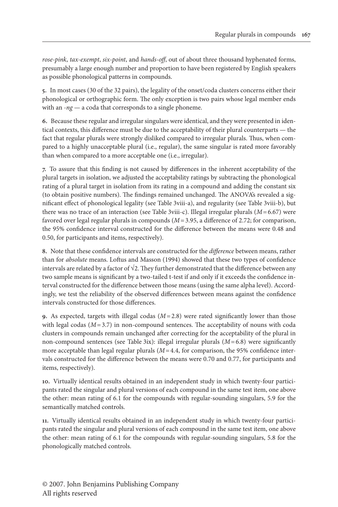*rose-pink*, *tax-exempt*, *six-point*, and *hands-off*, out of about three thousand hyphenated forms, presumably a large enough number and proportion to have been registered by English speakers as possible phonological patterns in compounds.

**5.** In most cases (30 of the 32 pairs), the legality of the onset/coda clusters concerns either their phonological or orthographic form. The only exception is two pairs whose legal member ends with an -*ng —* a coda that corresponds to a single phoneme.

**6.** Because these regular and irregular singulars were identical, and they were presented in identical contexts, this difference must be due to the acceptability of their plural counterparts — the fact that regular plurals were strongly disliked compared to irregular plurals. Thus, when compared to a highly unacceptable plural (i.e., regular), the same singular is rated more favorably than when compared to a more acceptable one (i.e., irregular).

**7.** To assure that this finding is not caused by differences in the inherent acceptability of the plural targets in isolation, we adjusted the acceptability ratings by subtracting the phonological rating of a plural target in isolation from its rating in a compound and adding the constant six (to obtain positive numbers). The findings remained unchanged. The ANOVA's revealed a significant effect of phonological legality (see Table 3viii-a), and regularity (see Table 3viii-b), but there was no trace of an interaction (see Table 3viii-c). Illegal irregular plurals (*M* = 6.67) were favored over legal regular plurals in compounds (*M* = 3.95, a difference of 2.72; for comparison, the 95% confidence interval constructed for the difference between the means were 0.48 and 0.50, for participants and items, respectively).

**8.** Note that these confidence intervals are constructed for the *difference* between means, rather than for *absolute* means. Loftus and Masson (1994) showed that these two types of confidence intervals are related by a factor of  $\sqrt{2}$ . They further demonstrated that the difference between any two sample means is significant by a two-tailed t-test if and only if it exceeds the confidence interval constructed for the difference between those means (using the same alpha level). Accordingly, we test the reliability of the observed differences between means against the confidence intervals constructed for those differences.

**9.** As expected, targets with illegal codas  $(M=2.8)$  were rated significantly lower than those with legal codas  $(M=3.7)$  in non-compound sentences. The acceptability of nouns with coda clusters in compounds remain unchanged after correcting for the acceptability of the plural in non-compound sentences (see Table 3ix): illegal irregular plurals (*M* = 6.8) were significantly more acceptable than legal regular plurals ( $M = 4.4$ , for comparison, the 95% confidence intervals constructed for the difference between the means were 0.70 and 0.77, for participants and items, respectively).

**0.** Virtually identical results obtained in an independent study in which twenty-four participants rated the singular and plural versions of each compound in the same test item, one above the other: mean rating of 6.1 for the compounds with regular-sounding singulars, 5.9 for the semantically matched controls.

**.** Virtually identical results obtained in an independent study in which twenty-four participants rated the singular and plural versions of each compound in the same test item, one above the other: mean rating of 6.1 for the compounds with regular-sounding singulars, 5.8 for the phonologically matched controls.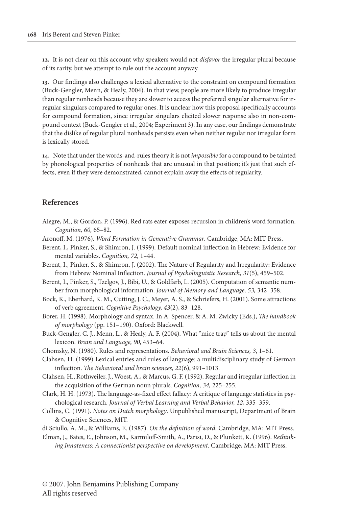**2.** It is not clear on this account why speakers would not *disfavor* the irregular plural because of its rarity, but we attempt to rule out the account anyway.

**3.** Our findings also challenges a lexical alternative to the constraint on compound formation (Buck-Gengler, Menn, & Healy, 2004). In that view, people are more likely to produce irregular than regular nonheads because they are slower to access the preferred singular alternative for irregular singulars compared to regular ones. It is unclear how this proposal specifically accounts for compound formation, since irregular singulars elicited slower response also in non-compound context (Buck-Gengler et al., 2004; Experiment 3). In any case, our findings demonstrate that the dislike of regular plural nonheads persists even when neither regular nor irregular form is lexically stored.

**4.** Note that under the words-and-rules theory it is not *impossible* for a compound to be tainted by phonological properties of nonheads that are unusual in that position; it's just that such effects, even if they were demonstrated, cannot explain away the effects of regularity.

#### **References**

- Alegre, M., & Gordon, P. (1996). Red rats eater exposes recursion in children's word formation. *Cognition, 60,* 65–82.
- Aronoff, M. (1976). *Word Formation in Generative Grammar*. Cambridge, MA: MIT Press.
- Berent, I., Pinker, S., & Shimron, J. (1999). Default nominal inflection in Hebrew: Evidence for mental variables. *Cognition, 72,* 1–44.
- Berent, I., Pinker, S., & Shimron, J. (2002). The Nature of Regularity and Irregularity: Evidence from Hebrew Nominal Inflection. *Journal of Psycholinguistic Research, 31*(5), 459–502.
- Berent, I., Pinker, S., Tzelgov, J., Bibi, U., & Goldfarb, L. (2005). Computation of semantic number from morphological information. *Journal of Memory and Language, 53,* 342–358.
- Bock, K., Eberhard, K. M., Cutting, J. C., Meyer, A. S., & Schriefers, H. (2001). Some attractions of verb agreement. *Cognitive Psychology, 43*(2), 83–128.
- Borer, H. (1998). Morphology and syntax. In A. Spencer, & A. M. Zwicky (Eds.), *The handbook of morphology* (pp. 151–190). Oxford: Blackwell.
- Buck-Gengler, C. J., Menn, L., & Healy, A. F. (2004). What "mice trap" tells us about the mental lexicon. *Brain and Language, 90*, 453–64.
- Chomsky, N. (1980). Rules and representations. *Behavioral and Brain Sciences, 3*, 1–61.
- Clahsen, H. (1999) Lexical entries and rules of language: a multidisciplinary study of German inflection. *The Behavioral and brain sciences, 22*(6), 991–1013.
- Clahsen, H., Rothweiler, J., Woest, A., & Marcus, G. F. (1992). Regular and irregular inflection in the acquisition of the German noun plurals. *Cognition, 34,* 225–255.
- Clark, H. H. (1973). The language-as-fixed effect fallacy: A critique of language statistics in psychological research. *Journal of Verbal Learning and Verbal Behavior, 12*, 335–359.
- Collins, C. (1991). *Notes on Dutch morphology*. Unpublished manuscript, Department of Brain & Cognitive Sciences, MIT.
- di Sciullo, A. M., & Williams, E. (1987). *On the definition of word.* Cambridge, MA: MIT Press.
- Elman, J., Bates, E., Johnson, M., Karmiloff-Smith, A., Parisi, D., & Plunkett, K. (1996). *Rethinking Innateness: A connectionist perspective on development*. Cambridge, MA: MIT Press.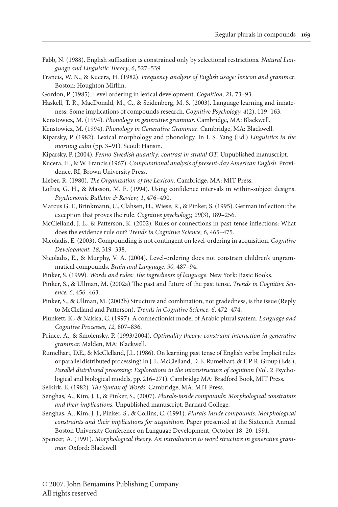- Fabb, N. (1988). English suffixation is constrained only by selectional restrictions*. Natural Language and Linguistic Theory*, *6*, 527–539.
- Francis, W. N., & Kucera, H. (1982). *Frequency analysis of English usage: lexicon and grammar*. Boston: Houghton Mifflin.
- Gordon, P. (1985). Level ordering in lexical development. *Cognition, 21*, 73–93.
- Haskell, T. R., MacDonald, M., C., & Seidenberg, M. S. (2003). Language learning and innateness: Some implications of compounds research. *Cognitive Psychology, 4*(2), 119–163.
- Kenstowicz, M. (1994). *Phonology in generative grammar*. Cambridge, MA: Blackwell.
- Kenstowicz, M. (1994). *Phonology in Generative Grammar*. Cambridge, MA: Blackwell.
- Kiparsky, P. (1982). Lexical morphology and phonology. In I. S. Yang (Ed.) *Linguistics in the morning calm* (pp. 3–91)*.* Seoul: Hansin.
- Kiparsky, P. (2004). *Fenno-Swedish quantity: contrast in stratal OT*. Unpublished manuscript.
- Kucera, H., & W. Francis (1967). *Computational analysis of present-day American English*. Providence, RI, Brown University Press.
- Lieber, R. (1980). *The Organization of the Lexicon.* Cambridge, MA: MIT Press.
- Loftus, G. H., & Masson, M. E. (1994). Using confidence intervals in within-subject designs. *Psychonomic Bulletin & Review, 1*, 476–490.
- Marcus G. F., Brinkmann, U., Clahsen, H., Wiese, R., & Pinker, S. (1995). German inflection: the exception that proves the rule. *Cognitive psychology, 29*(3), 189–256.
- McClelland, J. L., & Patterson, K. (2002). Rules or connections in past-tense inflections: What does the evidence rule out? *Trends in Cognitive Science, 6,* 465–475.
- Nicoladis, E. (2003). Compounding is not contingent on level-ordering in acquisition. *Cognitive Development, 18,* 319–338.
- Nicoladis, E., & Murphy, V. A. (2004). Level-ordering does not constrain children's ungrammatical compounds. *Brain and Language, 90,* 487–94.
- Pinker, S. (1999). *Words and rules: The ingredients of language*. New York: Basic Books.
- Pinker, S., & Ullman, M. (2002a) The past and future of the past tense. *Trends in Cognitive Science, 6,* 456–463.
- Pinker, S., & Ullman, M. (2002b) Structure and combination, not gradedness, is the issue (Reply to McClelland and Patterson). *Trends in Cognitive Science, 6*, 472–474.
- Plunkett, K., & Nakisa, C. (1997). A connectionist model of Arabic plural system. *Language and Cognitive Processes, 12,* 807–836.
- Prince, A., & Smolensky, P. (1993/2004). *Optimality theory: constraint interaction in generative grammar.* Malden, MA: Blackwell.
- Rumelhart, D.E., & McClelland, J.L. (1986). On learning past tense of English verbs: Implicit rules or parallel distributed processing? In J. L. McClelland, D. E. Rumelhart, & T. P. R. Group (Eds.), *Parallel distributed processing: Explorations in the microstructure of cognition* (Vol. 2 Psychological and biological models, pp. 216–271). Cambridge MA: Bradford Book, MIT Press.
- Selkirk, E. (1982). *The Syntax of Words*. Cambridge, MA: MIT Press.
- Senghas, A., Kim, J. J., & Pinker, S., (2007). *Plurals-inside compounds: Morphological constraints and their implications*. Unpublished manuscript, Barnard College.
- Senghas, A., Kim, J. J., Pinker, S., & Collins, C. (1991). *Plurals-inside compounds: Morphological constraints and their implications for acquisition*. Paper presented at the Sixteenth Annual Boston University Conference on Language Development, October 18–20, 1991.
- Spencer, A. (1991). *Morphological theory. An introduction to word structure in generative grammar.* Oxford: Blackwell.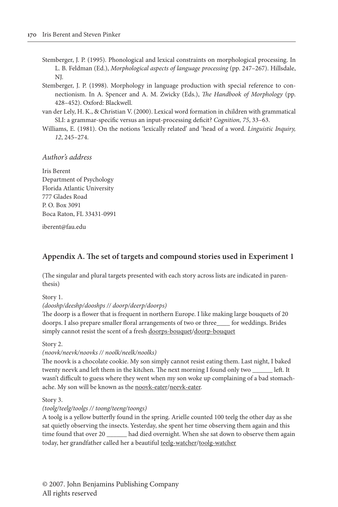- Stemberger, J. P. (1995). Phonological and lexical constraints on morphological processing. In L. B. Feldman (Ed.), *Morphological aspects of language processing* (pp. 247–267). Hillsdale, NJ.
- Stemberger, J. P. (1998). Morphology in language production with special reference to connectionism. In A. Spencer and A. M. Zwicky (Eds.), *The Handbook of Morphology* (pp. 428–452). Oxford: Blackwell.
- van der Lely, H. K., & Christian V. (2000). Lexical word formation in children with grammatical SLI: a grammar-specific versus an input-processing deficit? *Cognition, 75*, 33–63.
- Williams, E. (1981). On the notions 'lexically related' and 'head of a word. *Linguistic Inquiry, 12*, 245–274.

## *Author's address*

Iris Berent Department of Psychology Florida Atlantic University 777 Glades Road P. O. Box 3091 Boca Raton, FL 33431-0991

[iberent@fau.edu](mailto:iberent@fau.edu)

## **Appendix A. The set of targets and compound stories used in Experiment 1**

(The singular and plural targets presented with each story across lists are indicated in parenthesis)

Story 1.

*(dooshp/deeshp/dooshps // doorp/deerp/doorps)*

The doorp is a flower that is frequent in northern Europe. I like making large bouquets of 20 doorps. I also prepare smaller floral arrangements of two or three\_\_\_\_ for weddings. Brides simply cannot resist the scent of a fresh doorps-bouquet/doorp-bouquet

Story 2.

#### *(noovk/neevk/noovks // noolk/neelk/noolks)*

The noovk is a chocolate cookie. My son simply cannot resist eating them. Last night, I baked twenty neevk and left them in the kitchen. The next morning I found only two \_\_\_\_\_\_ left. It wasn't difficult to guess where they went when my son woke up complaining of a bad stomachache. My son will be known as the noovk-eater/neevk-eater.

Story 3.

#### *(toolg/teelg/toolgs // toong/teeng/toongs)*

A toolg is a yellow butterfly found in the spring. Arielle counted 100 teelg the other day as she sat quietly observing the insects. Yesterday, she spent her time observing them again and this time found that over 20 \_\_\_\_\_\_ had died overnight. When she sat down to observe them again today, her grandfather called her a beautiful teelg-watcher/toolg-watcher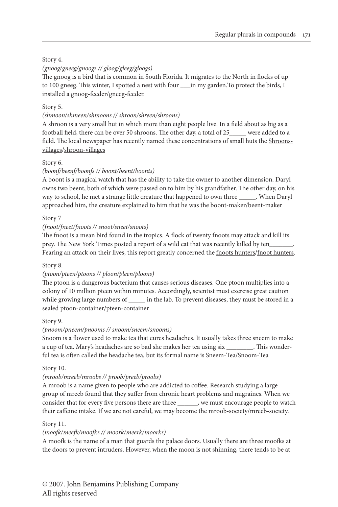#### Story 4.

#### *(gnoog/gneeg/gnoogs // gloog/gleeg/gloogs)*

The gnoog is a bird that is common in South Florida. It migrates to the North in flocks of up to 100 gneeg. This winter, I spotted a nest with four \_\_\_in my garden. To protect the birds, I installed a gnoog-feeder/gneeg-feeder.

#### Story 5.

#### *(shmoon/shmeen/shmoons // shroon/shreen/shroons)*

A shroon is a very small hut in which more than eight people live. In a field about as big as a football field, there can be over 50 shroons. The other day, a total of 25\_\_\_\_\_ were added to a field. The local newspaper has recently named these concentrations of small huts the Shroonsvillages/shroon-villages

#### Story 6.

#### *(boonf/beenf/boonfs // boont/beent/boonts)*

A boont is a magical watch that has the ability to take the owner to another dimension. Daryl owns two beent, both of which were passed on to him by his grandfather. The other day, on his way to school, he met a strange little creature that happened to own three \_\_\_\_\_. When Daryl approached him, the creature explained to him that he was the boont-maker/beent-maker

#### Story 7

#### *(fnoot/fneet/fnoots // snoot/sneet/snoots)*

The fnoot is a mean bird found in the tropics. A flock of twenty fnoots may attack and kill its prey. The New York Times posted a report of a wild cat that was recently killed by ten\_ Fearing an attack on their lives, this report greatly concerned the fnoots hunters/fnoot hunters.

#### Story 8.

#### *(ptoon/pteen/ptoons // ploon/pleen/ploons)*

The ptoon is a dangerous bacterium that causes serious diseases. One ptoon multiplies into a colony of 10 million pteen within minutes. Accordingly, scientist must exercise great caution while growing large numbers of \_\_\_\_\_\_ in the lab. To prevent diseases, they must be stored in a sealed ptoon-container/pteen-container

#### Story 9.

#### *(pnoom/pneem/pnooms // snoom/sneem/snooms)*

Snoom is a flower used to make tea that cures headaches. It usually takes three sneem to make a cup of tea. Mary's headaches are so bad she makes her tea using six \_\_\_\_\_\_\_\_. This wonderful tea is often called the headache tea, but its formal name is Sneem-Tea/Snoom-Tea

#### Story 10.

#### *(mroob/mreeb/mroobs // proob/preeb/proobs)*

A mroob is a name given to people who are addicted to coffee. Research studying a large group of mreeb found that they suffer from chronic heart problems and migraines. When we consider that for every five persons there are three \_\_\_\_\_\_, we must encourage people to watch their caffeine intake. If we are not careful, we may become the mroob-society/mreeb-society.

#### Story 11.

#### *(moofk/meefk/moofks // moork/meerk/moorks)*

A moofk is the name of a man that guards the palace doors. Usually there are three moofks at the doors to prevent intruders. However, when the moon is not shinning, there tends to be at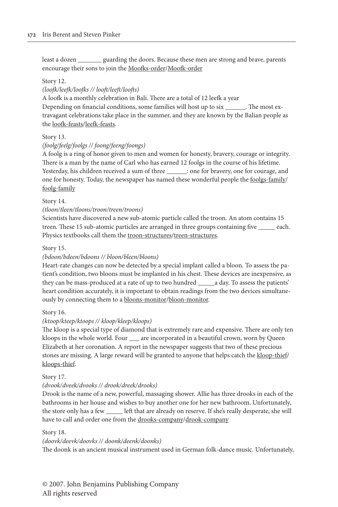least a dozen \_\_\_\_\_\_\_ guarding the doors. Because these men are strong and brave, parents encourage their sons to join the Moofks-order/Moofk-order

#### Story 12.

#### *(loofk/leefk/loofks // looft/leeft/loofts)*

A loofk is a monthly celebration in Bali. There are a total of 12 leefk a year Depending on financial conditions, some families will host up to six \_\_\_\_\_\_. The most extravagant celebrations take place in the summer, and they are known by the Balian people as the loofk-feasts/leefk-feasts.

#### Story 13.

#### *(foolg/feelg/foolgs // foong/feeng/foongs)*

A foolg is a ring of honor given to men and women for honesty, bravery, courage or integrity. There is a man by the name of Carl who has earned 12 foolgs in the course of his lifetime. Yesterday, his children received a sum of three \_\_\_\_\_\_: one for bravery, one for courage, and one for honesty. Today, the newspaper has named these wonderful people the foolgs-family/ foolg-family

#### Story 14.

#### *(tloon/tleen/tloons/troon/treen/troons)*

Scientists have discovered a new sub-atomic particle called the troon. An atom contains 15 treen*.* These 15 sub-atomic particles are arranged in three groups containing five \_\_\_\_\_ each. Physics textbooks call them the troon-structures/treen-structures.

#### Story 15.

#### *(bdoon/bdeen/bdoons // bloon/bleen/bloons)*

Heart-rate changes can now be detected by a special implant called a bloon. To assess the patient's condition, two bloons must be implanted in his chest. These devices are inexpensive, as they can be mass-produced at a rate of up to two hundred \_\_\_\_\_a day. To assess the patients' heart condition accurately, it is important to obtain readings from the two devices simultaneously by connecting them to a bloons-monitor/bloon-monitor.

#### Story 16.

#### *(ktoop/kteep/ktoops // kloop/kleep/kloops)*

The kloop is a special type of diamond that is extremely rare and expensive. There are only ten kloops in the whole world. Four \_\_\_ are incorporated in a beautiful crown, worn by Queen Elizabeth at her coronation. A report in the newspaper suggests that two of these precious stones are missing. A large reward will be granted to anyone that helps catch the kloop-thief/ kloops-thief.

#### Story 17.

#### *(dvook/dveek/dvooks // drook/dreek/drooks)*

Drook is the name of a new, powerful, massaging shower. Allie has three drooks in each of the bathrooms in her house and wishes to buy another one for her new bathroom. Unfortunately, the store only has a few \_\_\_\_\_ left that are already on reserve. If she's really desperate, she will have to call and order one from the drooks-company/drook-company

#### Story 18.

#### *(doovk/deevk/doovks // doonk/deenk/doonks)*

The doonk is an ancient musical instrument used in German folk-dance music. Unfortunately,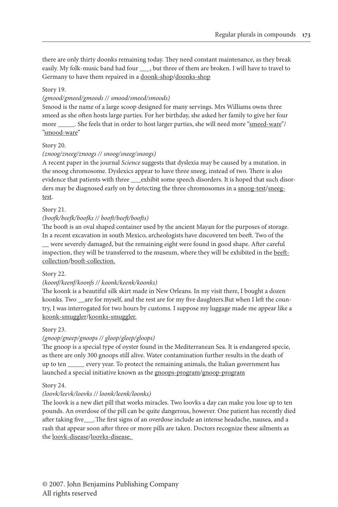there are only thirty doonks remaining today. They need constant maintenance, as they break easily. My folk-music band had four , but three of them are broken. I will have to travel to Germany to have them repaired in a doonk-shop/doonks-shop

#### Story 19.

#### *(gmood/gmeed/gmoods // smood/smeed/smoods)*

Smood is the name of a large scoop designed for many servings. Mrs Williams owns three smeed as she often hosts large parties. For her birthday, she asked her family to give her four more She feels that in order to host larger parties, she will need more "smeed-ware"/ "smood-ware"

#### Story 20.

#### *(znoog/zneeg/znoogs // snoog/sneeg/snoogs)*

A recent paper in the journal *Science* suggests that dyslexia may be caused by a mutation. in the snoog chromosome. Dyslexics appear to have three sneeg, instead of two. There is also evidence that patients with three \_\_\_exhibit some speech disorders. It is hoped that such disorders may be diagnosed early on by detecting the three chromosomes in a snoog-test/sneegtest.

#### Story 21.

#### *(boofk/beefk/boofks // booft/beeft/boofts)*

The booft is an oval shaped container used by the ancient Mayan for the purposes of storage. In a recent excavation in south Mexico, archeologists have discovered ten beeft. Two of the \_\_ were severely damaged, but the remaining eight were found in good shape. After careful inspection, they will be transferred to the museum, where they will be exhibited in the beeftcollection/booft-collection.

#### Story 22.

#### *(koonf/keenf/koonfs // koonk/keenk/koonks)*

The koonk is a beautiful silk skirt made in New Orleans. In my visit there, I bought a dozen koonks. Two \_\_are for myself, and the rest are for my five daughters.But when I left the country, I was interrogated for two hours by customs. I suppose my luggage made me appear like a koonk-smuggler/koonks-smuggler.

#### Story 23.

#### *(gnoop/gneep/gnoops // gloop/gleep/gloops)*

The gnoop is a special type of oyster found in the Mediterranean Sea. It is endangered specie, as there are only 300 gnoops still alive. Water contamination further results in the death of up to ten \_\_\_\_\_ every year. To protect the remaining animals, the Italian government has launched a special initiative known as the gnoops-program/gnoop-program

#### Story 24.

#### *(loovk/leevk/loovks // loonk/leenk/loonks)*

The loovk is a new diet pill that works miracles. Two loovks a day can make you lose up to ten pounds. An overdose of the pill can be quite dangerous, however. One patient has recently died after taking five\_\_\_.The first signs of an overdose include an intense headache, nausea, and a rash that appear soon after three or more pills are taken. Doctors recognize these ailments as the loovk-disease/loovks-disease.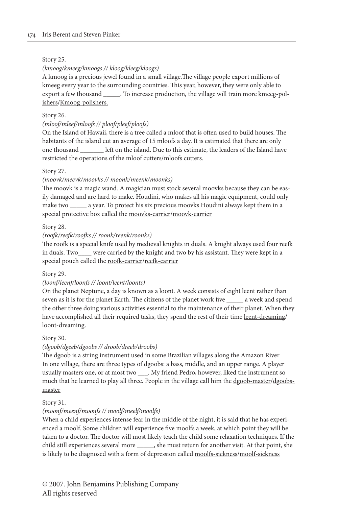#### Story 25.

#### *(kmoog/kmeeg/kmoogs // kloog/kleeg/kloogs)*

A kmoog is a precious jewel found in a small village.The village people export millions of kmeeg every year to the surrounding countries. This year, however, they were only able to export a few thousand \_\_\_\_\_. To increase production, the village will train more kmeeg-polishers/Kmoog-polishers.

#### Story 26.

#### *(mloof/mleef/mloofs // ploof/pleef/ploofs)*

On the Island of Hawaii, there is a tree called a mloof that is often used to build houses. The habitants of the island cut an average of 15 mloofs a day. It is estimated that there are only one thousand left on the island. Due to this estimate, the leaders of the Island have restricted the operations of the mloof cutters/mloofs cutters.

#### Story 27.

#### *(moovk/meevk/moovks // moonk/meenk/moonks)*

The moovk is a magic wand. A magician must stock several moovks because they can be easily damaged and are hard to make. Houdini, who makes all his magic equipment, could only make two \_\_\_\_\_ a year. To protect his six precious moovks Houdini always kept them in a special protective box called the moovks-carrier/moovk-carrier

#### Story 28.

#### *(roofk/reefk/roofks // roonk/reenk/roonks)*

The roofk is a special knife used by medieval knights in duals. A knight always used four reefk in duals. Two\_\_\_\_ were carried by the knight and two by his assistant. They were kept in a special pouch called the roofk-carrier/reefk-carrier

#### Story 29.

#### *(loonf/leenf/loonfs // loont/leent/loonts)*

On the planet Neptune, a day is known as a loont. A week consists of eight leent rather than seven as it is for the planet Earth. The citizens of the planet work five \_\_\_\_\_ a week and spend the other three doing various activities essential to the maintenance of their planet. When they have accomplished all their required tasks, they spend the rest of their time leent-dreaming/ loont-dreaming.

#### Story 30.

#### *(dgoob/dgeeb/dgoobs // droob/dreeb/droobs)*

The dgoob is a string instrument used in some Brazilian villages along the Amazon River In one village, there are three types of dgoobs: a bass, middle, and an upper range. A player usually masters one, or at most two \_\_\_. My friend Pedro, however, liked the instrument so much that he learned to play all three. People in the village call him the dgoob-master/dgoobsmaster

#### Story 31.

#### *(moonf/meenf/moonfs // moolf/meelf/moolfs)*

When a child experiences intense fear in the middle of the night, it is said that he has experienced a moolf. Some children will experience five moolfs a week, at which point they will be taken to a doctor. The doctor will most likely teach the child some relaxation techniques. If the child still experiences several more \_\_\_\_\_, she must return for another visit. At that point, she is likely to be diagnosed with a form of depression called moolfs-sickness/moolf-sickness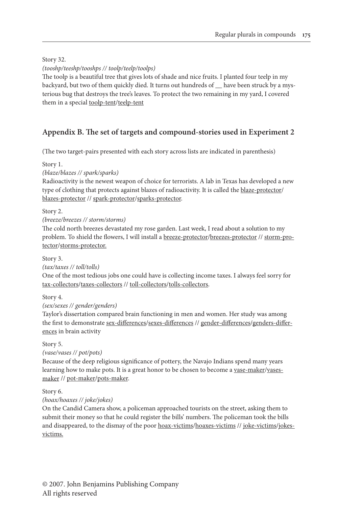Story 32.

*(tooshp/teeshp/tooshps // toolp/teelp/toolps)*

The toolp is a beautiful tree that gives lots of shade and nice fruits. I planted four teelp in my backyard, but two of them quickly died. It turns out hundreds of \_\_ have been struck by a mysterious bug that destroys the tree's leaves. To protect the two remaining in my yard, I covered them in a special toolp-tent/teelp-tent

## **Appendix B. The set of targets and compound-stories used in Experiment 2**

(The two target-pairs presented with each story across lists are indicated in parenthesis)

Story 1.

*(blaze/blazes // spark/sparks)*

Radioactivity is the newest weapon of choice for terrorists. A lab in Texas has developed a new type of clothing that protects against blazes of radioactivity. It is called the blaze-protector/ blazes-protector // spark-protector/sparks-protector.

Story 2.

*(breeze/breezes // storm/storms)*

The cold north breezes devastated my rose garden. Last week, I read about a solution to my problem. To shield the flowers, I will install a breeze-protector/breezes-protector // storm-protector/storms-protector.

Story 3.

*(tax/taxes // toll/tolls)*

One of the most tedious jobs one could have is collecting income taxes. I always feel sorry for tax-collectors/taxes-collectors // toll-collectors/tolls-collectors.

Story 4.

*(sex/sexes // gender/genders)*

Taylor's dissertation compared brain functioning in men and women. Her study was among the first to demonstrate sex-differences/sexes-differences // gender-differences/genders-differences in brain activity

Story 5.

*(vase/vases // pot/pots)*

Because of the deep religious significance of pottery, the Navajo Indians spend many years learning how to make pots. It is a great honor to be chosen to become a <u>vase-maker/vases-</u> maker // pot-maker/pots-maker.

Story 6.

*(hoax/hoaxes // joke/jokes)*

On the Candid Camera show, a policeman approached tourists on the street, asking them to submit their money so that he could register the bills' numbers. The policeman took the bills and disappeared, to the dismay of the poor hoax-victims/hoaxes-victims // joke-victims/jokesvictims.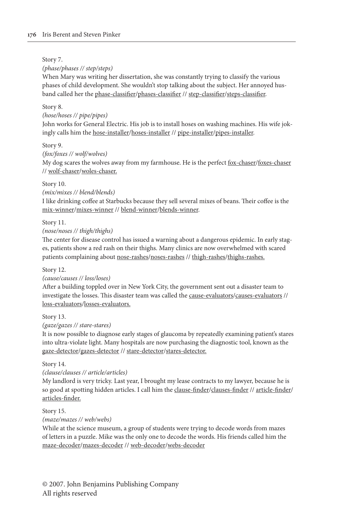#### Story 7.

#### *(phase/phases // step/steps)*

When Mary was writing her dissertation, she was constantly trying to classify the various phases of child development. She wouldn't stop talking about the subject. Her annoyed husband called her the phase-classifier/phases-classifier // step-classifier/steps-classifier.

#### Story 8.

#### *(hose/hoses // pipe/pipes)*

John works for General Electric. His job is to install hoses on washing machines. His wife jokingly calls him the hose-installer/hoses-installer // pipe-installer/pipes-installer.

#### Story 9.

#### *(fox/foxes // wolf/wolves)*

My dog scares the wolves away from my farmhouse. He is the perfect fox-chaser/foxes-chaser // wolf-chaser/woles-chaser.

#### Story 10.

#### *(mix/mixes // blend/blends)*

I like drinking coffee at Starbucks because they sell several mixes of beans. Their coffee is the mix-winner/mixes-winner // blend-winner/blends-winner.

#### Story 11.

*(nose/noses // thigh/thighs)*

The center for disease control has issued a warning about a dangerous epidemic. In early stages, patients show a red rash on their thighs. Many clinics are now overwhelmed with scared patients complaining about nose-rashes/noses-rashes // thigh-rashes/thighs-rashes.

#### Story 12.

#### *(cause/causes // loss/loses)*

After a building toppled over in New York City, the government sent out a disaster team to investigate the losses. This disaster team was called the cause-evaluators/causes-evaluators // loss-evaluators/losses-evaluators.

#### Story 13.

*(gaze/gazes // stare-stares)*

It is now possible to diagnose early stages of glaucoma by repeatedly examining patient's stares into ultra-violate light. Many hospitals are now purchasing the diagnostic tool, known as the gaze-detector/gazes-detector // stare-detector/stares-detector.

#### Story 14.

#### *(clause/clauses // article/articles)*

My landlord is very tricky. Last year, I brought my lease contracts to my lawyer, because he is so good at spotting hidden articles. I call him the clause-finder/clauses-finder // article-finder/ articles-finder.

#### Story 15.

*(maze/mazes // web/webs)*

While at the science museum, a group of students were trying to decode words from mazes of letters in a puzzle. Mike was the only one to decode the words. His friends called him the maze-decoder/mazes-decoder // web-decoder/webs-decoder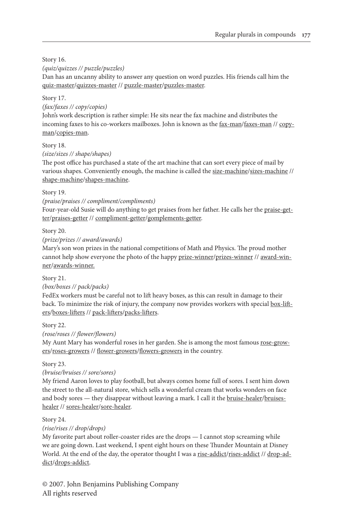Story 16.

*(quiz/quizzes // puzzle/puzzles)*

Dan has an uncanny ability to answer any question on word puzzles. His friends call him the quiz-master/quizzes-master // puzzle-master/puzzles-master.

#### Story 17.

*(fax/faxes // copy/copies)*

John's work description is rather simple: He sits near the fax machine and distributes the incoming faxes to his co-workers mailboxes. John is known as the  $\frac{fax - man}{fax - s}$  // copyman/copies-man.

#### Story 18.

*(size/sizes // shape/shapes)*

The post office has purchased a state of the art machine that can sort every piece of mail by various shapes. Conveniently enough, the machine is called the size-machine/sizes-machine // shape-machine/shapes-machine.

#### Story 19.

*(praise/praises // compliment/compliments)*

Four-year-old Susie will do anything to get praises from her father. He calls her the praise-getter/praises-getter // compliment-getter/gomplements-getter.

Story 20.

*(prize/prizes // award/awards)*

Mary's son won prizes in the national competitions of Math and Physics. The proud mother cannot help show everyone the photo of the happy prize-winner/prizes-winner // award-winner/awards-winner.

Story 21.

#### *(box/boxes // pack/packs)*

FedEx workers must be careful not to lift heavy boxes, as this can result in damage to their back. To minimize the risk of injury, the company now provides workers with special box-lifters/boxes-lifters // pack-lifters/packs-lifters.

Story 22.

*(rose/roses // flower/flowers)*

My Aunt Mary has wonderful roses in her garden. She is among the most famous rose-growers/roses-growers // flower-growers/flowers-growers in the country.

Story 23.

*(bruise/bruises // sore/sores)*

My friend Aaron loves to play football, but always comes home full of sores. I sent him down the street to the all-natural store, which sells a wonderful cream that works wonders on face and body sores — they disappear without leaving a mark. I call it the bruise-healer/bruiseshealer // sores-healer/sore-healer.

#### Story 24.

*(rise/rises // drop/drops)*

My favorite part about roller-coaster rides are the drops — I cannot stop screaming while we are going down. Last weekend, I spent eight hours on these Thunder Mountain at Disney World. At the end of the day, the operator thought I was a rise-addict/rises-addict // drop-addict/drops-addict.

© 2007. John Benjamins Publishing Company All rights reserved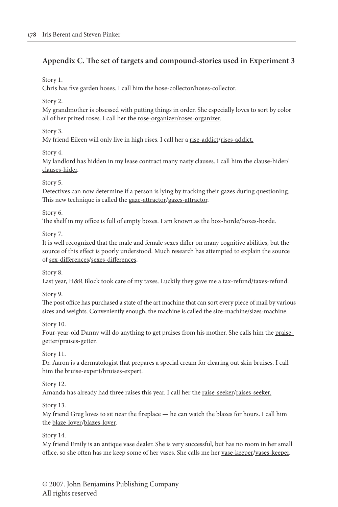## **Appendix C. The set of targets and compound-stories used in Experiment 3**

Story 1.

Chris has five garden hoses. I call him the hose-collector/hoses-collector.

Story 2.

My grandmother is obsessed with putting things in order. She especially loves to sort by color all of her prized roses. I call her the rose-organizer/roses-organizer.

Story 3.

My friend Eileen will only live in high rises. I call her a rise-addict/rises-addict.

Story 4.

My landlord has hidden in my lease contract many nasty clauses. I call him the clause-hider/ clauses-hider.

Story 5.

Detectives can now determine if a person is lying by tracking their gazes during questioning. This new technique is called the gaze-attractor/gazes-attractor.

Story 6.

The shelf in my office is full of empty boxes. I am known as the box-horde/boxes-horde.

Story 7.

It is well recognized that the male and female sexes differ on many cognitive abilities, but the source of this effect is poorly understood. Much research has attempted to explain the source of sex-differences/sexes-differences.

Story 8.

Last year, H&R Block took care of my taxes. Luckily they gave me a tax-refund/taxes-refund.

Story 9.

The post office has purchased a state of the art machine that can sort every piece of mail by various sizes and weights. Conveniently enough, the machine is called the size-machine/sizes-machine.

Story 10.

Four-year-old Danny will do anything to get praises from his mother. She calls him the praisegetter/praises-getter.

Story 11.

Dr. Aaron is a dermatologist that prepares a special cream for clearing out skin bruises. I call him the bruise-expert/bruises-expert.

Story 12.

Amanda has already had three raises this year. I call her the raise-seeker/raises-seeker.

Story 13.

My friend Greg loves to sit near the fireplace — he can watch the blazes for hours. I call him the blaze-lover/blazes-lover.

Story 14.

My friend Emily is an antique vase dealer. She is very successful, but has no room in her small office, so she often has me keep some of her vases. She calls me her vase-keeper/vases-keeper.

© 2007. John Benjamins Publishing Company All rights reserved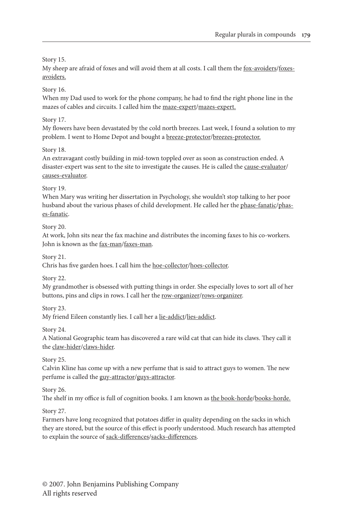Story 15.

My sheep are afraid of foxes and will avoid them at all costs. I call them the fox-avoiders/foxesavoiders.

Story 16.

When my Dad used to work for the phone company, he had to find the right phone line in the mazes of cables and circuits. I called him the maze-expert/mazes-expert.

Story 17.

My flowers have been devastated by the cold north breezes. Last week, I found a solution to my problem. I went to Home Depot and bought a breeze-protector/breezes-protector.

Story 18.

An extravagant costly building in mid-town toppled over as soon as construction ended. A disaster-expert was sent to the site to investigate the causes. He is called the cause-evaluator/ causes-evaluator.

Story 19.

When Mary was writing her dissertation in Psychology, she wouldn't stop talking to her poor husband about the various phases of child development. He called her the phase-fanatic/phases-fanatic.

Story 20.

At work, John sits near the fax machine and distributes the incoming faxes to his co-workers. John is known as the fax-man/faxes-man.

Story 21.

Chris has five garden hoes. I call him the hoe-collector/hoes-collector.

Story 22.

My grandmother is obsessed with putting things in order. She especially loves to sort all of her buttons, pins and clips in rows. I call her the <u>row-organizer</u>/rows-organizer.

Story 23.

My friend Eileen constantly lies. I call her a lie-addict/lies-addict.

Story 24.

A National Geographic team has discovered a rare wild cat that can hide its claws. They call it the claw-hider/claws-hider.

Story 25.

Calvin Kline has come up with a new perfume that is said to attract guys to women. The new perfume is called the guy-attractor/guys-attractor.

Story 26.

The shelf in my office is full of cognition books. I am known as the book-horde/books-horde.

Story 27.

Farmers have long recognized that potatoes differ in quality depending on the sacks in which they are stored, but the source of this effect is poorly understood. Much research has attempted to explain the source of sack-differences/sacks-differences.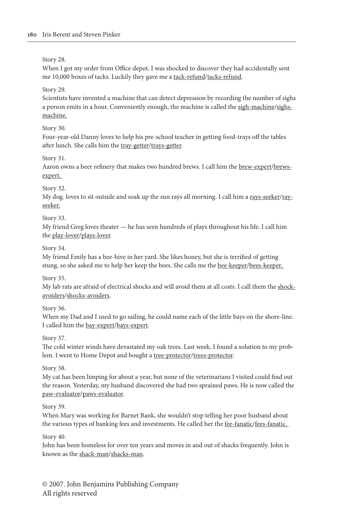Story 28.

When I got my order from Office depot, I was shocked to discover they had accidentally sent me 10,000 boxes of tacks. Luckily they gave me a tack-refund/tacks-refund.

Story 29.

Scientists have invented a machine that can detect depression by recording the number of sighs a person emits in a hour. Conveniently enough, the machine is called the sigh-machine/sighsmachine.

Story 30.

Four-year-old Danny loves to help his pre-school teacher in getting food-trays off the tables after lunch. She calls him the tray-getter/trays-getter.

Story 31.

Aaron owns a beer refinery that makes two hundred brews. I call him the brew-expert/brewsexpert.

Story 32.

My dog. loves to sit outside and soak up the sun rays all morning. I call him a rays-seeker/rayseeker.

Story 33.

My friend Greg loves theater — he has seen hundreds of plays throughout his life. I call him the play-lover/plays-lover.

Story 34.

My friend Emily has a bee-hive in her yard. She likes honey, but she is terrified of getting stung, so she asked me to help her keep the bees. She calls me the bee-keeper/bees-keeper.

Story 35.

My lab rats are afraid of electrical shocks and will avoid them at all costs. I call them the shockavoiders/shocks-avoiders.

Story 36.

When my Dad and I used to go sailing, he could name each of the little bays on the shore-line. I called him the bay-expert/bays-expert.

Story 37.

The cold winter winds have devastated my oak trees. Last week, I found a solution to my problem. I went to Home Depot and bought a tree-protector/trees-protector.

Story 38.

My cat has been limping for about a year, but none of the veterinarians I visited could find out the reason. Yesterday, my husband discovered she had two sprained paws. He is now called the paw-evaluator/paws-evaluator.

Story 39.

When Mary was working for Barnet Bank, she wouldn't stop telling her poor husband about the various types of banking fees and investments. He called her the fee-fanatic/fees-fanatic.

Story 40.

John has been homeless for over ten years and moves in and out of shacks frequently. John is known as the shack-man/shacks-man.

© 2007. John Benjamins Publishing Company All rights reserved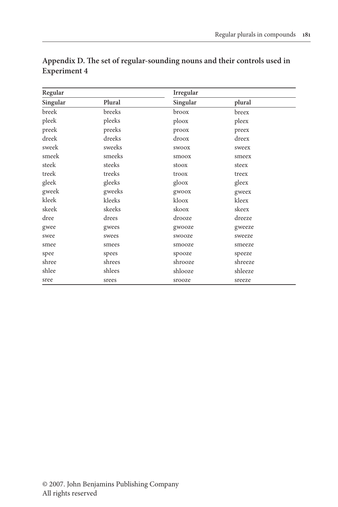| Regular  |        | Irregular    |         |  |
|----------|--------|--------------|---------|--|
| Singular | Plural | Singular     | plural  |  |
| breek    | breeks | broox        | breex   |  |
| pleek    | pleeks | ploox        | pleex   |  |
| preek    | preeks | proox        | preex   |  |
| dreek    | dreeks | droox        | dreex   |  |
| sweek    | sweeks | <b>SWOOX</b> | sweex   |  |
| smeek    | smeeks | smoox        | smeex   |  |
| steek    | steeks | stoox        | steex   |  |
| treek    | treeks | troox        | treex   |  |
| gleek    | gleeks | gloox        | gleex   |  |
| gweek    | gweeks | gwoox        | gweex   |  |
| kleek    | kleeks | kloox        | kleex   |  |
| skeek    | skeeks | skoox        | skeex   |  |
| dree     | drees  | drooze       | dreeze  |  |
| gwee     | gwees  | gwooze       | gweeze  |  |
| swee     | swees  | swooze       | sweeze  |  |
| smee     | smees  | smooze       | smeeze  |  |
| spee     | spees  | spooze       | speeze  |  |
| shree    | shrees | shrooze      | shreeze |  |
| shlee    | shlees | shlooze      | shleeze |  |
| sree     | srees  | srooze       | sreeze  |  |

## **Appendix D. The set of regular-sounding nouns and their controls used in Experiment 4**